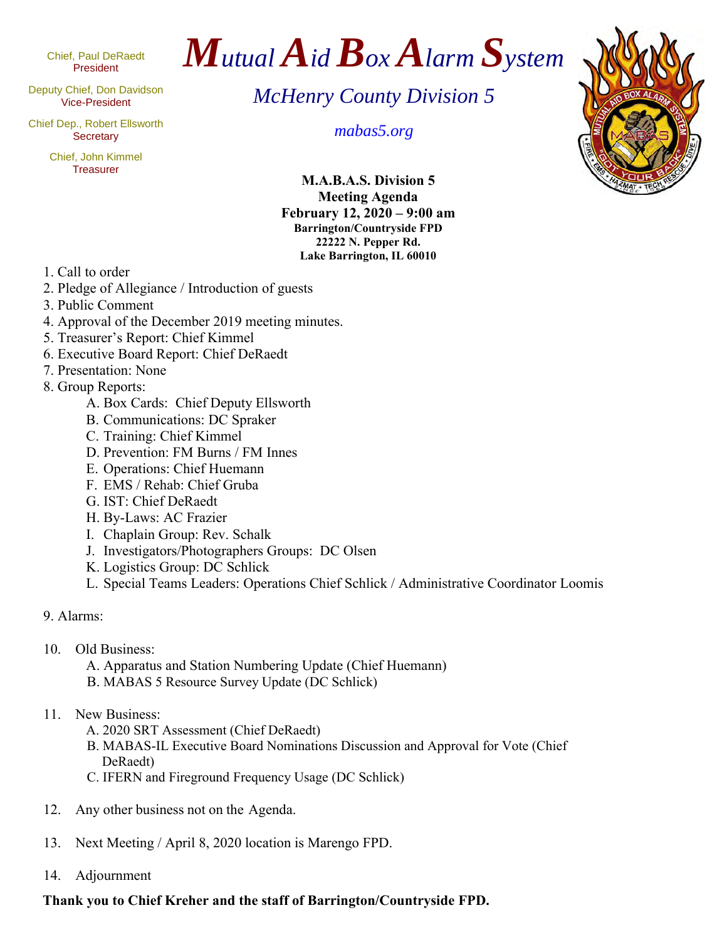Deputy Chief, Don Davidson

Chief Dep., Robert Ellsworth p., Robert Elisworth<br>Secretary *mabas5.org* 

Chief, John Kimmel **Treasurer** 



Vice-President *McHenry County Division 5*



**M.A.B.A.S. Division 5 Meeting Agenda February 12, 2020 – 9:00 am Barrington/Countryside FPD 22222 N. Pepper Rd. Lake Barrington, IL 60010** 

- 1. Call to order
- 2. Pledge of Allegiance / Introduction of guests
- 3. Public Comment
- 4. Approval of the December 2019 meeting minutes.
- 5. Treasurer's Report: Chief Kimmel
- 6. Executive Board Report: Chief DeRaedt
- 7. Presentation: None
- 8. Group Reports:
	- A. Box Cards: Chief Deputy Ellsworth
	- B. Communications: DC Spraker
	- C. Training: Chief Kimmel
	- D. Prevention: FM Burns / FM Innes
	- E. Operations: Chief Huemann
	- F. EMS / Rehab: Chief Gruba
	- G. IST: Chief DeRaedt
	- H. By-Laws: AC Frazier
	- I. Chaplain Group: Rev. Schalk
	- J. Investigators/Photographers Groups: DC Olsen
	- K. Logistics Group: DC Schlick
	- L. Special Teams Leaders: Operations Chief Schlick / Administrative Coordinator Loomis
- 9. Alarms:
- 10. Old Business:
	- A. Apparatus and Station Numbering Update (Chief Huemann)
	- B. MABAS 5 Resource Survey Update (DC Schlick)
- 11. New Business:
	- A. 2020 SRT Assessment (Chief DeRaedt)
	- B. MABAS-IL Executive Board Nominations Discussion and Approval for Vote (Chief DeRaedt)
	- C. IFERN and Fireground Frequency Usage (DC Schlick)
- 12. Any other business not on the Agenda.
- 13. Next Meeting / April 8, 2020 location is Marengo FPD.
- 14. Adjournment

## **Thank you to Chief Kreher and the staff of Barrington/Countryside FPD.**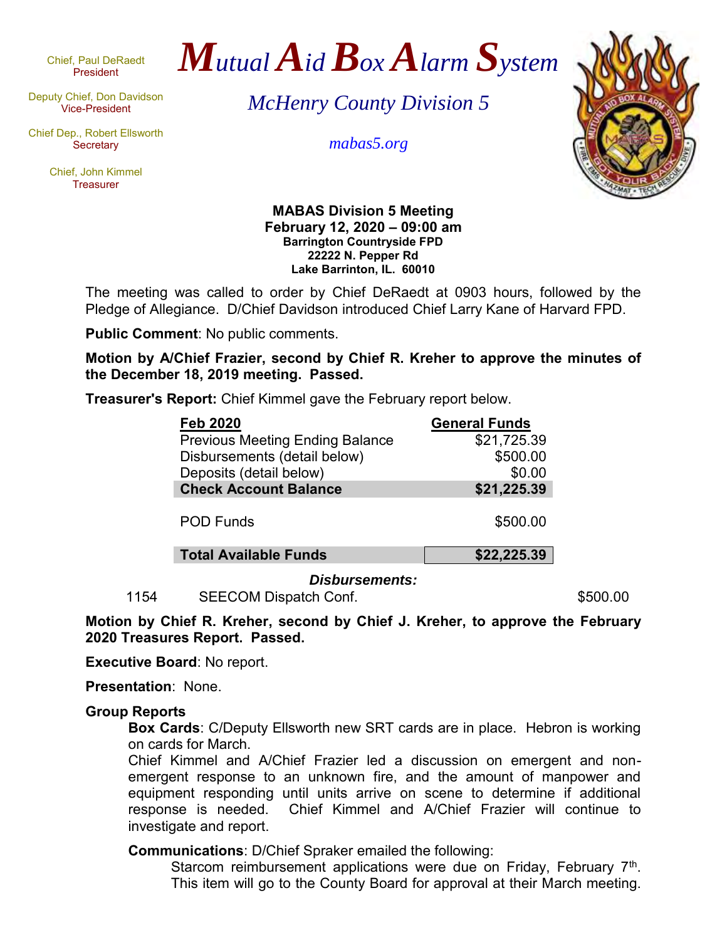Deputy Chief, Don Davidson

Chief Dep., Robert Ellsworth

Chief, John Kimmel Treasurer



Vice-President *McHenry County Division 5*

mabas5.org



**MABAS Division 5 Meeting February 12, 2020 – 09:00 am Barrington Countryside FPD 22222 N. Pepper Rd Lake Barrinton, IL. 60010**

The meeting was called to order by Chief DeRaedt at 0903 hours, followed by the Pledge of Allegiance. D/Chief Davidson introduced Chief Larry Kane of Harvard FPD.

**Public Comment**: No public comments.

**Motion by A/Chief Frazier, second by Chief R. Kreher to approve the minutes of the December 18, 2019 meeting. Passed.**

**Treasurer's Report:** Chief Kimmel gave the February report below.

| <b>Feb 2020</b>                        | <b>General Funds</b> |
|----------------------------------------|----------------------|
| <b>Previous Meeting Ending Balance</b> | \$21,725.39          |
| Disbursements (detail below)           | \$500.00             |
| Deposits (detail below)                | \$0.00               |
| <b>Check Account Balance</b>           | \$21,225.39          |
| <b>POD Funds</b>                       | \$500.00             |
| <b>Total Available Funds</b>           | \$22,225.39          |

#### *Disbursements:*

1154 SEECOM Dispatch Conf. 6500.00

#### **Motion by Chief R. Kreher, second by Chief J. Kreher, to approve the February 2020 Treasures Report. Passed.**

**Executive Board**: No report.

**Presentation**: None.

#### **Group Reports**

**Box Cards**: C/Deputy Ellsworth new SRT cards are in place. Hebron is working on cards for March.

Chief Kimmel and A/Chief Frazier led a discussion on emergent and nonemergent response to an unknown fire, and the amount of manpower and equipment responding until units arrive on scene to determine if additional response is needed. Chief Kimmel and A/Chief Frazier will continue to investigate and report.

**Communications**: D/Chief Spraker emailed the following:

Starcom reimbursement applications were due on Friday, February 7<sup>th</sup>. This item will go to the County Board for approval at their March meeting.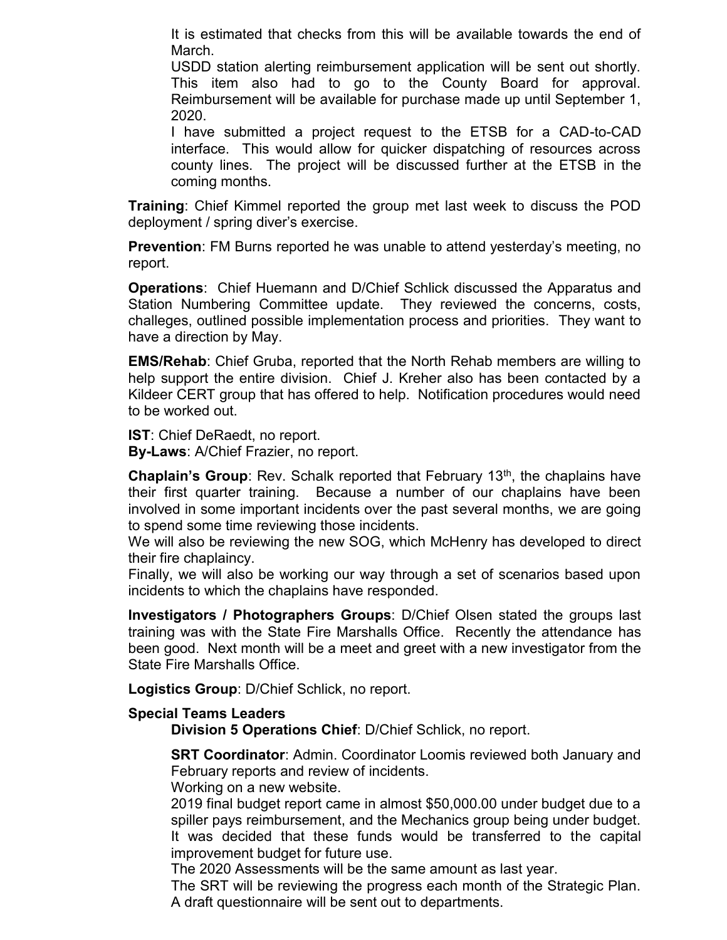It is estimated that checks from this will be available towards the end of March.

USDD station alerting reimbursement application will be sent out shortly. This item also had to go to the County Board for approval. Reimbursement will be available for purchase made up until September 1, 2020.

I have submitted a project request to the ETSB for a CAD-to-CAD interface. This would allow for quicker dispatching of resources across county lines. The project will be discussed further at the ETSB in the coming months.

**Training**: Chief Kimmel reported the group met last week to discuss the POD deployment / spring diver's exercise.

**Prevention**: FM Burns reported he was unable to attend yesterday's meeting, no report.

**Operations**: Chief Huemann and D/Chief Schlick discussed the Apparatus and Station Numbering Committee update. They reviewed the concerns, costs, challeges, outlined possible implementation process and priorities. They want to have a direction by May.

**EMS/Rehab**: Chief Gruba, reported that the North Rehab members are willing to help support the entire division. Chief J. Kreher also has been contacted by a Kildeer CERT group that has offered to help. Notification procedures would need to be worked out.

**IST**: Chief DeRaedt, no report.

**By-Laws**: A/Chief Frazier, no report.

**Chaplain's Group**: Rev. Schalk reported that February 13<sup>th</sup>, the chaplains have their first quarter training. Because a number of our chaplains have been involved in some important incidents over the past several months, we are going to spend some time reviewing those incidents.

We will also be reviewing the new SOG, which McHenry has developed to direct their fire chaplaincy.

Finally, we will also be working our way through a set of scenarios based upon incidents to which the chaplains have responded.

**Investigators / Photographers Groups**: D/Chief Olsen stated the groups last training was with the State Fire Marshalls Office. Recently the attendance has been good. Next month will be a meet and greet with a new investigator from the State Fire Marshalls Office.

**Logistics Group**: D/Chief Schlick, no report.

### **Special Teams Leaders**

**Division 5 Operations Chief**: D/Chief Schlick, no report.

**SRT Coordinator**: Admin. Coordinator Loomis reviewed both January and February reports and review of incidents.

Working on a new website.

2019 final budget report came in almost \$50,000.00 under budget due to a spiller pays reimbursement, and the Mechanics group being under budget. It was decided that these funds would be transferred to the capital improvement budget for future use.

The 2020 Assessments will be the same amount as last year.

The SRT will be reviewing the progress each month of the Strategic Plan. A draft questionnaire will be sent out to departments.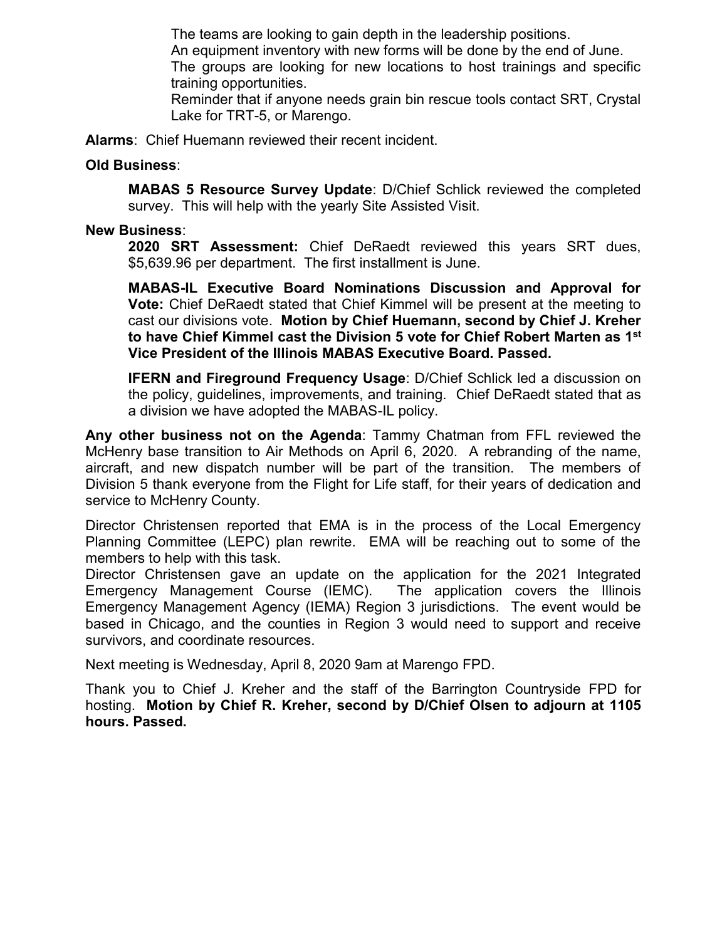The teams are looking to gain depth in the leadership positions.

An equipment inventory with new forms will be done by the end of June. The groups are looking for new locations to host trainings and specific training opportunities.

Reminder that if anyone needs grain bin rescue tools contact SRT, Crystal Lake for TRT-5, or Marengo.

**Alarms**: Chief Huemann reviewed their recent incident.

#### **Old Business**:

**MABAS 5 Resource Survey Update**: D/Chief Schlick reviewed the completed survey. This will help with the yearly Site Assisted Visit.

#### **New Business**:

**2020 SRT Assessment:** Chief DeRaedt reviewed this years SRT dues, \$5,639.96 per department. The first installment is June.

**MABAS-IL Executive Board Nominations Discussion and Approval for Vote:** Chief DeRaedt stated that Chief Kimmel will be present at the meeting to cast our divisions vote. **Motion by Chief Huemann, second by Chief J. Kreher to have Chief Kimmel cast the Division 5 vote for Chief Robert Marten as 1 st Vice President of the Illinois MABAS Executive Board. Passed.**

**IFERN and Fireground Frequency Usage**: D/Chief Schlick led a discussion on the policy, guidelines, improvements, and training. Chief DeRaedt stated that as a division we have adopted the MABAS-IL policy.

**Any other business not on the Agenda**: Tammy Chatman from FFL reviewed the McHenry base transition to Air Methods on April 6, 2020. A rebranding of the name, aircraft, and new dispatch number will be part of the transition. The members of Division 5 thank everyone from the Flight for Life staff, for their years of dedication and service to McHenry County.

Director Christensen reported that EMA is in the process of the Local Emergency Planning Committee (LEPC) plan rewrite. EMA will be reaching out to some of the members to help with this task.

Director Christensen gave an update on the application for the 2021 Integrated Emergency Management Course (IEMC). The application covers the Illinois Emergency Management Agency (IEMA) Region 3 jurisdictions. The event would be based in Chicago, and the counties in Region 3 would need to support and receive survivors, and coordinate resources.

Next meeting is Wednesday, April 8, 2020 9am at Marengo FPD.

Thank you to Chief J. Kreher and the staff of the Barrington Countryside FPD for hosting. **Motion by Chief R. Kreher, second by D/Chief Olsen to adjourn at 1105 hours. Passed.**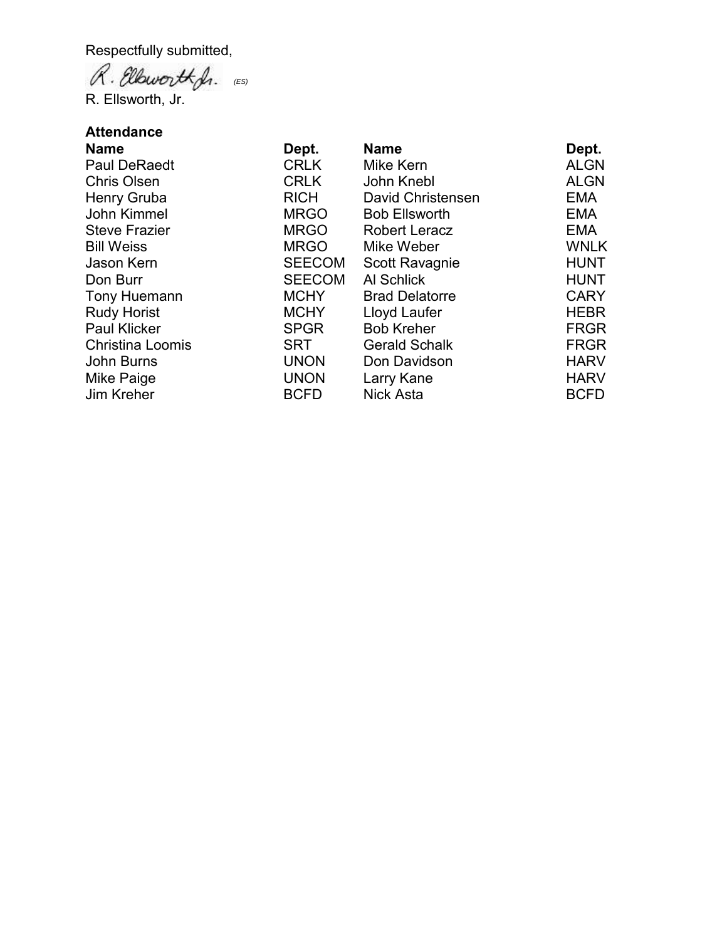Respectfully submitted,

*(ES)* R. Ellsworth, Jr.

| <b>Attendance</b>       |               |                       |             |
|-------------------------|---------------|-----------------------|-------------|
| <b>Name</b>             | Dept.         | <b>Name</b>           | Dept.       |
| <b>Paul DeRaedt</b>     | <b>CRLK</b>   | Mike Kern             | <b>ALGN</b> |
| <b>Chris Olsen</b>      | <b>CRLK</b>   | John Knebl            | <b>ALGN</b> |
| <b>Henry Gruba</b>      | <b>RICH</b>   | David Christensen     | <b>EMA</b>  |
| John Kimmel             | <b>MRGO</b>   | <b>Bob Ellsworth</b>  | <b>EMA</b>  |
| <b>Steve Frazier</b>    | <b>MRGO</b>   | <b>Robert Leracz</b>  | <b>EMA</b>  |
| <b>Bill Weiss</b>       | <b>MRGO</b>   | Mike Weber            | <b>WNLK</b> |
| Jason Kern              | <b>SEECOM</b> | Scott Ravagnie        | <b>HUNT</b> |
| Don Burr                | <b>SEECOM</b> | <b>Al Schlick</b>     | <b>HUNT</b> |
| <b>Tony Huemann</b>     | <b>MCHY</b>   | <b>Brad Delatorre</b> | <b>CARY</b> |
| <b>Rudy Horist</b>      | <b>MCHY</b>   | Lloyd Laufer          | <b>HEBR</b> |
| <b>Paul Klicker</b>     | <b>SPGR</b>   | <b>Bob Kreher</b>     | <b>FRGR</b> |
| <b>Christina Loomis</b> | <b>SRT</b>    | <b>Gerald Schalk</b>  | <b>FRGR</b> |
| <b>John Burns</b>       | <b>UNON</b>   | Don Davidson          | <b>HARV</b> |
| <b>Mike Paige</b>       | <b>UNON</b>   | Larry Kane            | <b>HARV</b> |
| Jim Kreher              | <b>BCFD</b>   | <b>Nick Asta</b>      | <b>BCFD</b> |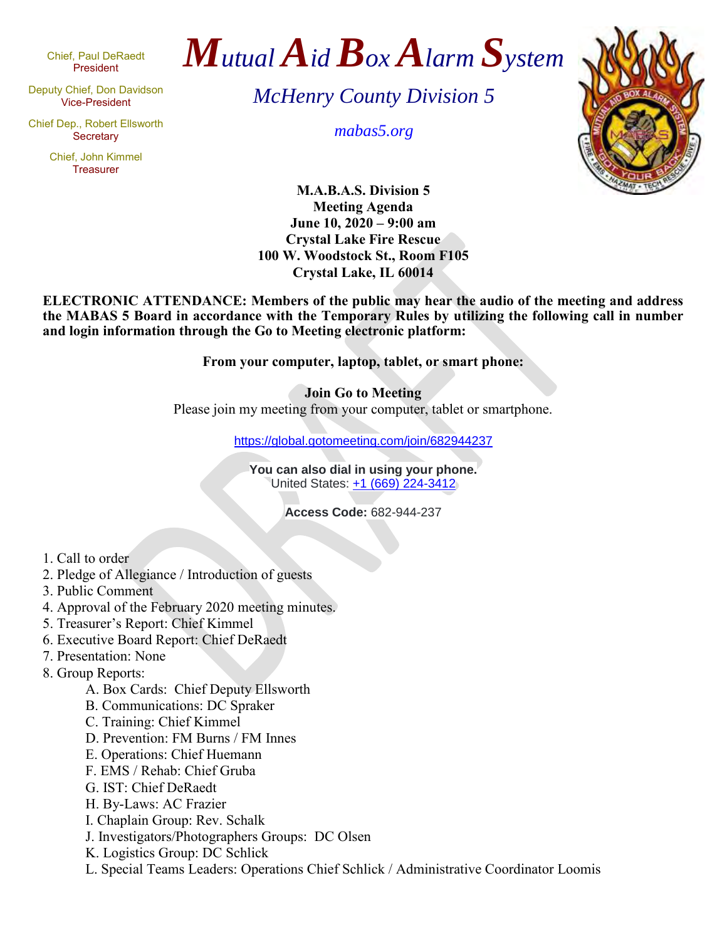Deputy Chief, Don Davidson

Chief Dep., Robert Ellsworth

Chief, John Kimmel **Treasurer** 



**McHenry County Division 5** 

mabas5.org



**M.A.B.A.S. Division 5 Meeting Agenda June 10, 2020 – 9:00 am Crystal Lake Fire Rescue 100 W. Woodstock St., Room F105 Crystal Lake, IL 60014**

**ELECTRONIC ATTENDANCE: Members of the public may hear the audio of the meeting and address the MABAS 5 Board in accordance with the Temporary Rules by utilizing the following call in number and login information through the Go to Meeting electronic platform:**

**From your computer, laptop, tablet, or smart phone:**

**Join Go to Meeting** Please join my meeting from your computer, tablet or smartphone.

<https://global.gotomeeting.com/join/682944237>

**You can also dial in using your phone.** United States: [+1 \(669\) 224-3412](tel:+16692243412,,682944237)

**Access Code:** 682-944-237

- 1. Call to order
- 2. Pledge of Allegiance / Introduction of guests
- 3. Public Comment
- 4. Approval of the February 2020 meeting minutes.
- 5. Treasurer's Report: Chief Kimmel
- 6. Executive Board Report: Chief DeRaedt
- 7. Presentation: None
- 8. Group Reports:
	- A. Box Cards: Chief Deputy Ellsworth
	- B. Communications: DC Spraker
	- C. Training: Chief Kimmel
	- D. Prevention: FM Burns / FM Innes
	- E. Operations: Chief Huemann
	- F. EMS / Rehab: Chief Gruba
	- G. IST: Chief DeRaedt
	- H. By-Laws: AC Frazier
	- I. Chaplain Group: Rev. Schalk
	- J. Investigators/Photographers Groups: DC Olsen
	- K. Logistics Group: DC Schlick
	- L. Special Teams Leaders: Operations Chief Schlick / Administrative Coordinator Loomis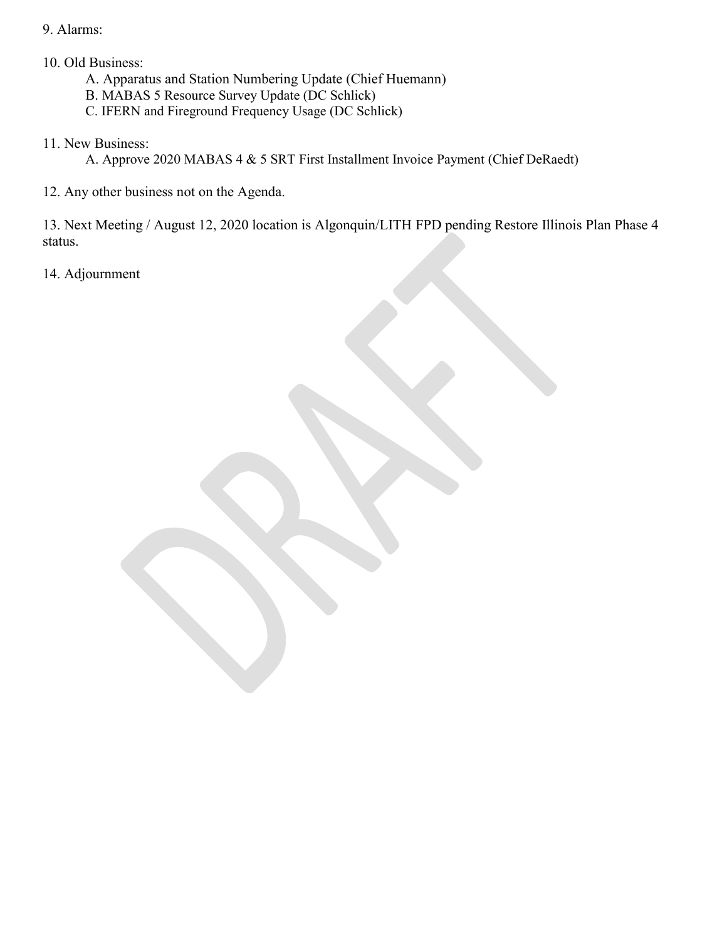## 9. Alarms:

### 10. Old Business:

A. Apparatus and Station Numbering Update (Chief Huemann)

B. MABAS 5 Resource Survey Update (DC Schlick)

C. IFERN and Fireground Frequency Usage (DC Schlick)

### 11. New Business:

A. Approve 2020 MABAS 4 & 5 SRT First Installment Invoice Payment (Chief DeRaedt)

12. Any other business not on the Agenda.

13. Next Meeting / August 12, 2020 location is Algonquin/LITH FPD pending Restore Illinois Plan Phase 4 status.

14. Adjournment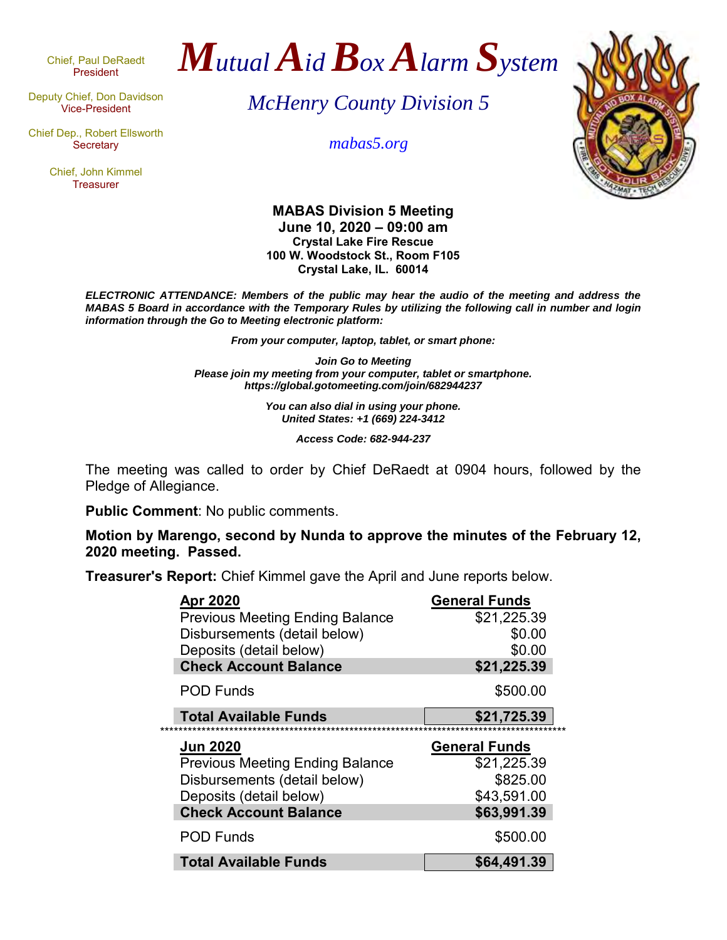Deputy Chief, Don Davidson

Chief Dep., Robert Ellsworth

Chief, John Kimmel **Treasurer** 



Vice-President *McHenry County Division 5*

mabas5.org



**MABAS Division 5 Meeting June 10, 2020 – 09:00 am Crystal Lake Fire Rescue 100 W. Woodstock St., Room F105 Crystal Lake, IL. 60014**

*ELECTRONIC ATTENDANCE: Members of the public may hear the audio of the meeting and address the MABAS 5 Board in accordance with the Temporary Rules by utilizing the following call in number and login information through the Go to Meeting electronic platform:*

*From your computer, laptop, tablet, or smart phone:*

*Join Go to Meeting Please join my meeting from your computer, tablet or smartphone. https://global.gotomeeting.com/join/682944237*

> *You can also dial in using your phone. United States: +1 (669) 224-3412*

> > *Access Code: 682-944-237*

The meeting was called to order by Chief DeRaedt at 0904 hours, followed by the Pledge of Allegiance.

**Public Comment**: No public comments.

**Motion by Marengo, second by Nunda to approve the minutes of the February 12, 2020 meeting. Passed.**

**Treasurer's Report:** Chief Kimmel gave the April and June reports below.

| <b>General Funds</b> |
|----------------------|
| \$21,225.39          |
| \$0.00               |
| \$0.00               |
| \$21,225.39          |
| \$500.00             |
| \$21,725.39          |
|                      |
| ************         |
| <b>General Funds</b> |
| \$21,225.39          |
| \$825.00             |
| \$43,591.00          |
| \$63,991.39          |
| \$500.00             |
|                      |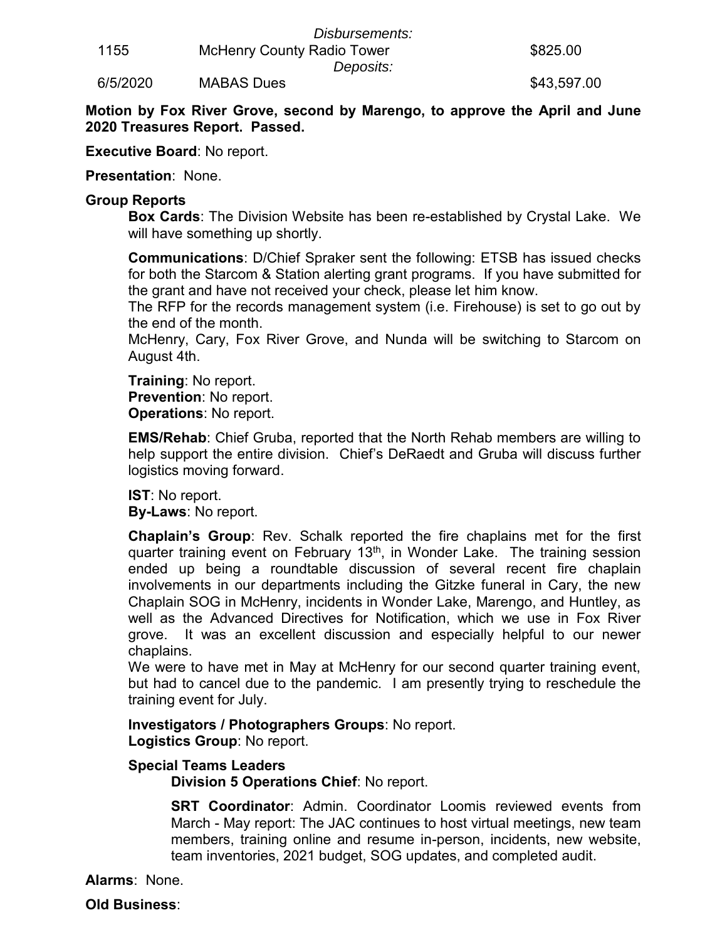|      | Disbursements:                    |          |
|------|-----------------------------------|----------|
| 1155 | <b>McHenry County Radio Tower</b> | \$825.00 |
|      | Deposits:                         |          |

6/5/2020 MABAS Dues \$43,597.00

#### **Motion by Fox River Grove, second by Marengo, to approve the April and June 2020 Treasures Report. Passed.**

**Executive Board**: No report.

**Presentation**: None.

#### **Group Reports**

**Box Cards**: The Division Website has been re-established by Crystal Lake. We will have something up shortly.

**Communications**: D/Chief Spraker sent the following: ETSB has issued checks for both the Starcom & Station alerting grant programs. If you have submitted for the grant and have not received your check, please let him know.

The RFP for the records management system (i.e. Firehouse) is set to go out by the end of the month.

McHenry, Cary, Fox River Grove, and Nunda will be switching to Starcom on August 4th.

**Training**: No report. **Prevention**: No report. **Operations**: No report.

**EMS/Rehab**: Chief Gruba, reported that the North Rehab members are willing to help support the entire division. Chief's DeRaedt and Gruba will discuss further logistics moving forward.

**IST**: No report. **By-Laws**: No report.

**Chaplain's Group**: Rev. Schalk reported the fire chaplains met for the first quarter training event on February 13<sup>th</sup>, in Wonder Lake. The training session ended up being a roundtable discussion of several recent fire chaplain involvements in our departments including the Gitzke funeral in Cary, the new Chaplain SOG in McHenry, incidents in Wonder Lake, Marengo, and Huntley, as well as the Advanced Directives for Notification, which we use in Fox River grove. It was an excellent discussion and especially helpful to our newer chaplains.

We were to have met in May at McHenry for our second quarter training event, but had to cancel due to the pandemic. I am presently trying to reschedule the training event for July.

**Investigators / Photographers Groups**: No report. **Logistics Group**: No report.

### **Special Teams Leaders**

**Division 5 Operations Chief**: No report.

**SRT Coordinator**: Admin. Coordinator Loomis reviewed events from March - May report: The JAC continues to host virtual meetings, new team members, training online and resume in-person, incidents, new website, team inventories, 2021 budget, SOG updates, and completed audit.

**Alarms**: None.

**Old Business**: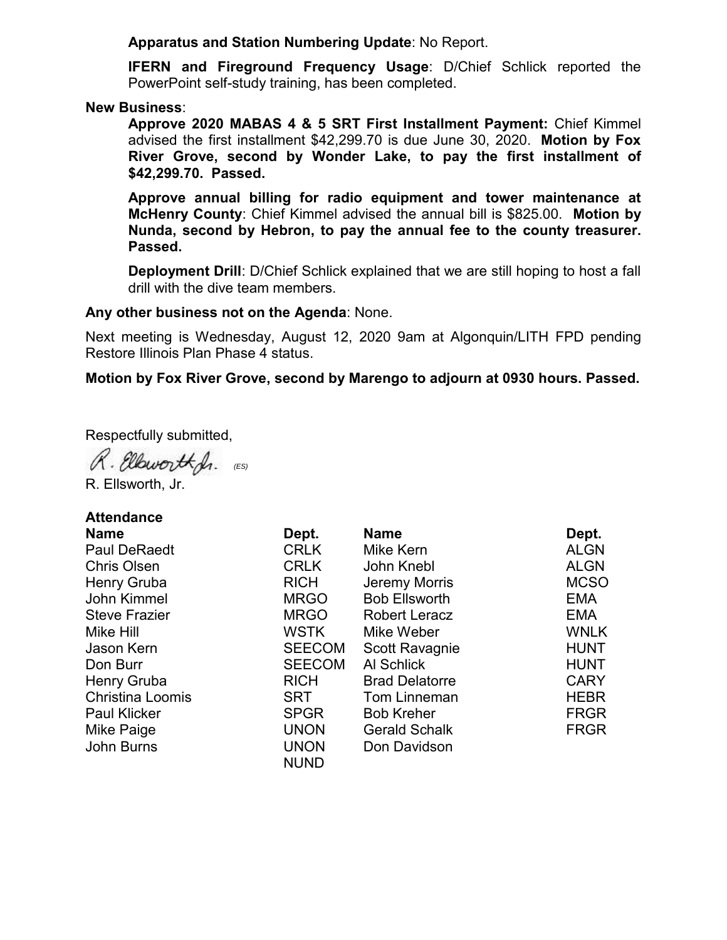**Apparatus and Station Numbering Update**: No Report.

**IFERN and Fireground Frequency Usage**: D/Chief Schlick reported the PowerPoint self-study training, has been completed.

### **New Business**:

**Approve 2020 MABAS 4 & 5 SRT First Installment Payment:** Chief Kimmel advised the first installment \$42,299.70 is due June 30, 2020. **Motion by Fox River Grove, second by Wonder Lake, to pay the first installment of \$42,299.70. Passed.**

**Approve annual billing for radio equipment and tower maintenance at McHenry County**: Chief Kimmel advised the annual bill is \$825.00. **Motion by Nunda, second by Hebron, to pay the annual fee to the county treasurer. Passed.**

**Deployment Drill**: D/Chief Schlick explained that we are still hoping to host a fall drill with the dive team members.

#### **Any other business not on the Agenda**: None.

Next meeting is Wednesday, August 12, 2020 9am at Algonquin/LITH FPD pending Restore Illinois Plan Phase 4 status.

### **Motion by Fox River Grove, second by Marengo to adjourn at 0930 hours. Passed.**

Respectfully submitted,

R. Elbworthdr. (ES)

R. Ellsworth, Jr.

| Dept.         | <b>Name</b>           | Dept.       |
|---------------|-----------------------|-------------|
| <b>CRLK</b>   | Mike Kern             | <b>ALGN</b> |
| <b>CRLK</b>   | John Knebl            | <b>ALGN</b> |
| <b>RICH</b>   | <b>Jeremy Morris</b>  | <b>MCSO</b> |
| <b>MRGO</b>   | <b>Bob Ellsworth</b>  | <b>EMA</b>  |
| <b>MRGO</b>   | <b>Robert Leracz</b>  | <b>EMA</b>  |
| <b>WSTK</b>   | Mike Weber            | <b>WNLK</b> |
| <b>SEECOM</b> | Scott Ravagnie        | <b>HUNT</b> |
| <b>SEECOM</b> | <b>Al Schlick</b>     | <b>HUNT</b> |
| <b>RICH</b>   | <b>Brad Delatorre</b> | <b>CARY</b> |
| <b>SRT</b>    | Tom Linneman          | <b>HEBR</b> |
| <b>SPGR</b>   | <b>Bob Kreher</b>     | <b>FRGR</b> |
| <b>UNON</b>   | <b>Gerald Schalk</b>  | <b>FRGR</b> |
| <b>UNON</b>   | Don Davidson          |             |
| <b>NUND</b>   |                       |             |
|               |                       |             |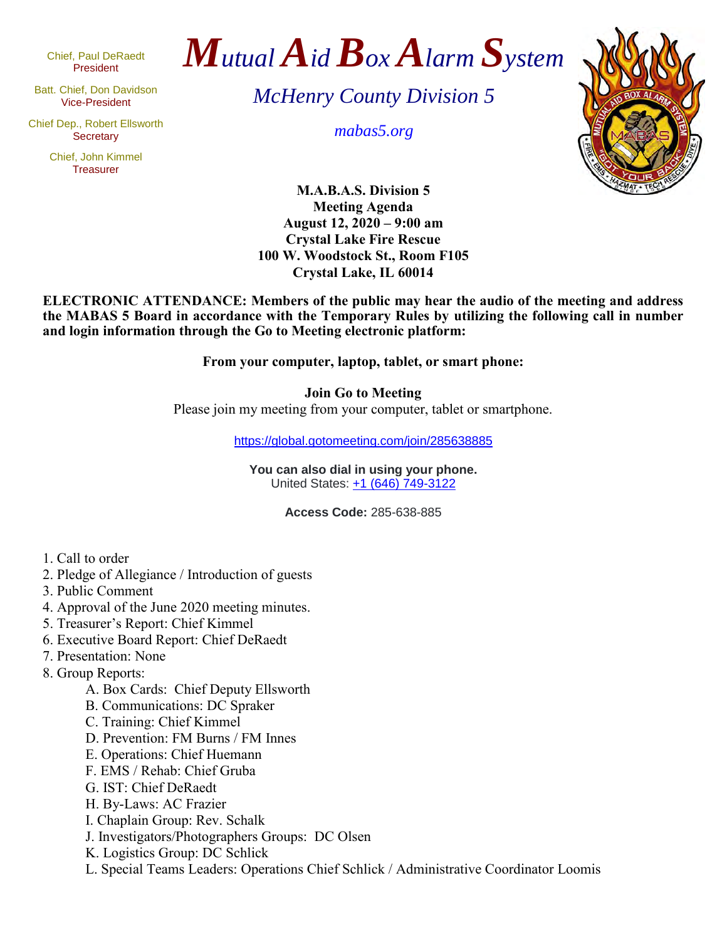Batt. Chief, Don Davidson

Chief Dep., Robert Ellsworth p., Robert Elisworth<br>Secretary *mabas5.org* 

Chief, John Kimmel **Treasurer** 



Vice-President *McHenry County Division 5*



**M.A.B.A.S. Division 5 Meeting Agenda August 12, 2020 – 9:00 am Crystal Lake Fire Rescue 100 W. Woodstock St., Room F105 Crystal Lake, IL 60014**

**ELECTRONIC ATTENDANCE: Members of the public may hear the audio of the meeting and address the MABAS 5 Board in accordance with the Temporary Rules by utilizing the following call in number and login information through the Go to Meeting electronic platform:**

#### **From your computer, laptop, tablet, or smart phone:**

**Join Go to Meeting** Please join my meeting from your computer, tablet or smartphone.

<https://global.gotomeeting.com/join/285638885>

**You can also dial in using your phone.** United States: [+1 \(646\) 749-3122](tel:+16467493122,,285638885)

**Access Code:** 285-638-885

- 1. Call to order
- 2. Pledge of Allegiance / Introduction of guests
- 3. Public Comment
- 4. Approval of the June 2020 meeting minutes.
- 5. Treasurer's Report: Chief Kimmel
- 6. Executive Board Report: Chief DeRaedt
- 7. Presentation: None
- 8. Group Reports:
	- A. Box Cards: Chief Deputy Ellsworth
	- B. Communications: DC Spraker
	- C. Training: Chief Kimmel
	- D. Prevention: FM Burns / FM Innes
	- E. Operations: Chief Huemann
	- F. EMS / Rehab: Chief Gruba
	- G. IST: Chief DeRaedt
	- H. By-Laws: AC Frazier
	- I. Chaplain Group: Rev. Schalk
	- J. Investigators/Photographers Groups: DC Olsen
	- K. Logistics Group: DC Schlick
	- L. Special Teams Leaders: Operations Chief Schlick / Administrative Coordinator Loomis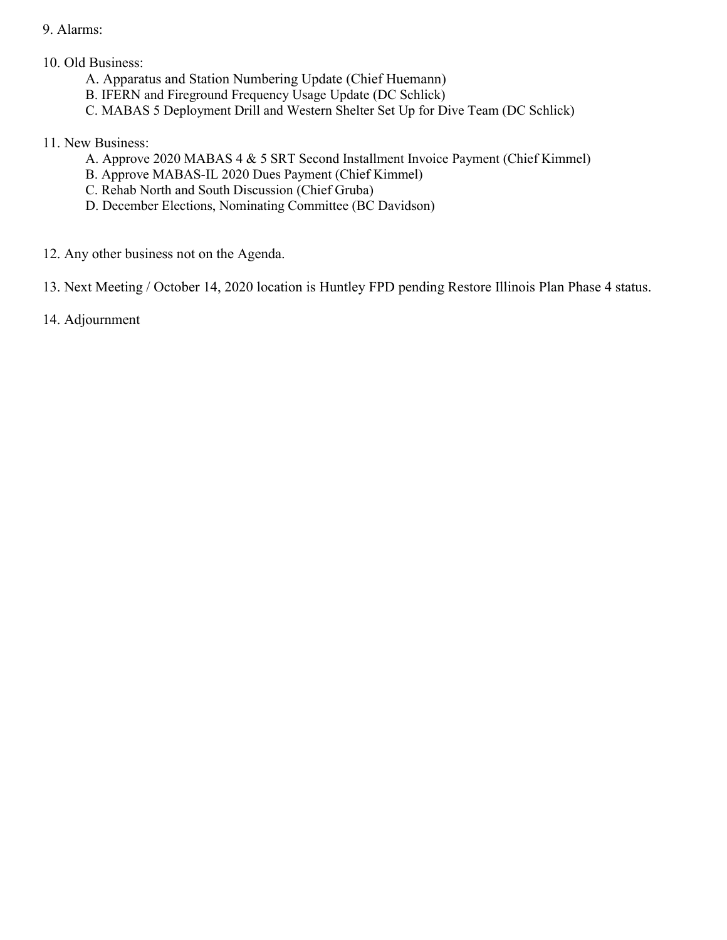### 9. Alarms:

- 10. Old Business:
	- A. Apparatus and Station Numbering Update (Chief Huemann)
	- B. IFERN and Fireground Frequency Usage Update (DC Schlick)
	- C. MABAS 5 Deployment Drill and Western Shelter Set Up for Dive Team (DC Schlick)

## 11. New Business:

- A. Approve 2020 MABAS 4 & 5 SRT Second Installment Invoice Payment (Chief Kimmel)
- B. Approve MABAS-IL 2020 Dues Payment (Chief Kimmel)
- C. Rehab North and South Discussion (Chief Gruba)
- D. December Elections, Nominating Committee (BC Davidson)
- 12. Any other business not on the Agenda.
- 13. Next Meeting / October 14, 2020 location is Huntley FPD pending Restore Illinois Plan Phase 4 status.
- 14. Adjournment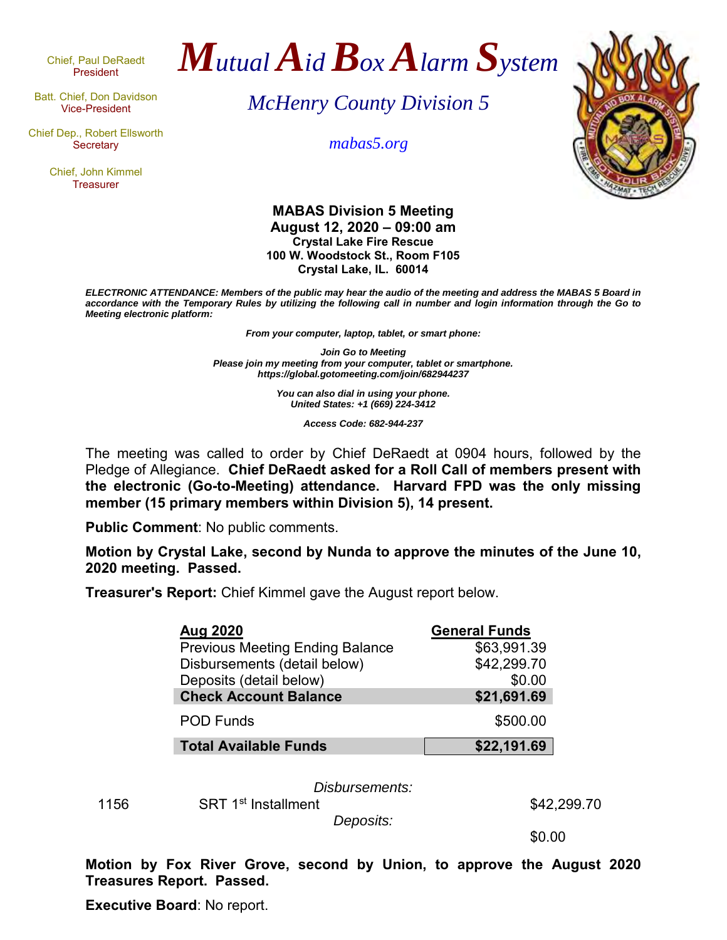Batt. Chief, Don Davidson

Chief Dep., Robert Ellsworth

Chief, John Kimmel **Treasurer** 



Vice-President *McHenry County Division 5*

mabas5.org



**MABAS Division 5 Meeting August 12, 2020 – 09:00 am Crystal Lake Fire Rescue 100 W. Woodstock St., Room F105 Crystal Lake, IL. 60014**

*ELECTRONIC ATTENDANCE: Members of the public may hear the audio of the meeting and address the MABAS 5 Board in accordance with the Temporary Rules by utilizing the following call in number and login information through the Go to Meeting electronic platform:*

*From your computer, laptop, tablet, or smart phone:*

*Join Go to Meeting Please join my meeting from your computer, tablet or smartphone. https://global.gotomeeting.com/join/682944237*

> *You can also dial in using your phone. United States: +1 (669) 224-3412*

> > *Access Code: 682-944-237*

The meeting was called to order by Chief DeRaedt at 0904 hours, followed by the Pledge of Allegiance. **Chief DeRaedt asked for a Roll Call of members present with the electronic (Go-to-Meeting) attendance. Harvard FPD was the only missing member (15 primary members within Division 5), 14 present.**

**Public Comment**: No public comments.

**Motion by Crystal Lake, second by Nunda to approve the minutes of the June 10, 2020 meeting. Passed.**

**Treasurer's Report:** Chief Kimmel gave the August report below.

| <b>Aug 2020</b>                        | <b>General Funds</b> |
|----------------------------------------|----------------------|
| <b>Previous Meeting Ending Balance</b> | \$63,991.39          |
| Disbursements (detail below)           | \$42,299.70          |
| Deposits (detail below)                | \$0.00               |
| <b>Check Account Balance</b>           | \$21,691.69          |
| <b>POD Funds</b>                       | \$500.00             |
| <b>Total Available Funds</b>           | \$22,191.69          |

*Disbursements:*

1156 SRT 1<sup>st</sup> Installment \$42,299.70

*Deposits:*

\$0.00

**Motion by Fox River Grove, second by Union, to approve the August 2020 Treasures Report. Passed.**

**Executive Board**: No report.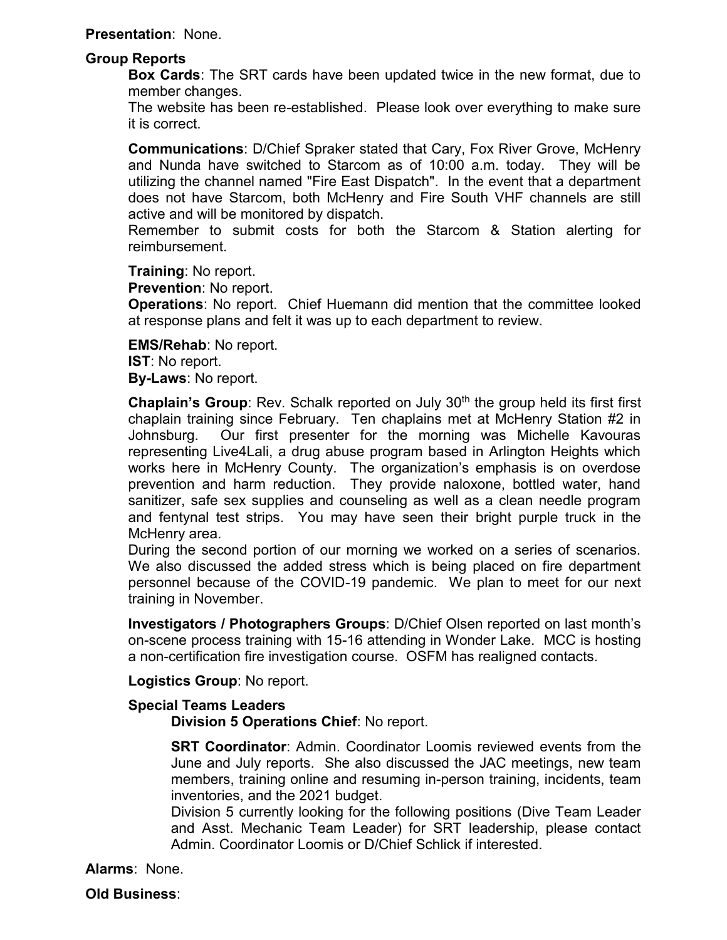### **Presentation**: None.

### **Group Reports**

**Box Cards**: The SRT cards have been updated twice in the new format, due to member changes.

The website has been re-established. Please look over everything to make sure it is correct.

**Communications**: D/Chief Spraker stated that Cary, Fox River Grove, McHenry and Nunda have switched to Starcom as of 10:00 a.m. today. They will be utilizing the channel named "Fire East Dispatch". In the event that a department does not have Starcom, both McHenry and Fire South VHF channels are still active and will be monitored by dispatch.

Remember to submit costs for both the Starcom & Station alerting for reimbursement.

**Training**: No report.

**Prevention**: No report.

**Operations**: No report. Chief Huemann did mention that the committee looked at response plans and felt it was up to each department to review.

**EMS/Rehab**: No report. **IST**: No report. **By-Laws**: No report.

**Chaplain's Group**: Rev. Schalk reported on July 30<sup>th</sup> the group held its first first chaplain training since February. Ten chaplains met at McHenry Station #2 in Johnsburg. Our first presenter for the morning was Michelle Kavouras representing Live4Lali, a drug abuse program based in Arlington Heights which works here in McHenry County. The organization's emphasis is on overdose prevention and harm reduction. They provide naloxone, bottled water, hand sanitizer, safe sex supplies and counseling as well as a clean needle program and fentynal test strips. You may have seen their bright purple truck in the McHenry area.

During the second portion of our morning we worked on a series of scenarios. We also discussed the added stress which is being placed on fire department personnel because of the COVID-19 pandemic. We plan to meet for our next training in November.

**Investigators / Photographers Groups**: D/Chief Olsen reported on last month's on-scene process training with 15-16 attending in Wonder Lake. MCC is hosting a non-certification fire investigation course. OSFM has realigned contacts.

**Logistics Group**: No report.

### **Special Teams Leaders**

**Division 5 Operations Chief**: No report.

**SRT Coordinator**: Admin. Coordinator Loomis reviewed events from the June and July reports. She also discussed the JAC meetings, new team members, training online and resuming in-person training, incidents, team inventories, and the 2021 budget.

Division 5 currently looking for the following positions (Dive Team Leader and Asst. Mechanic Team Leader) for SRT leadership, please contact Admin. Coordinator Loomis or D/Chief Schlick if interested.

**Alarms**: None.

**Old Business**: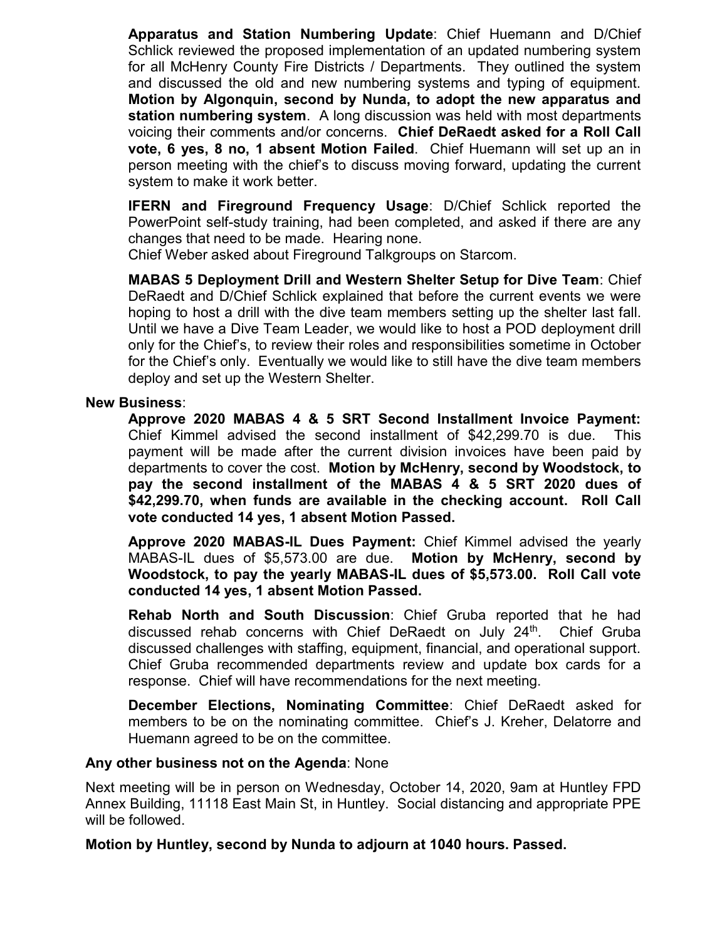**Apparatus and Station Numbering Update**: Chief Huemann and D/Chief Schlick reviewed the proposed implementation of an updated numbering system for all McHenry County Fire Districts / Departments. They outlined the system and discussed the old and new numbering systems and typing of equipment. **Motion by Algonquin, second by Nunda, to adopt the new apparatus and station numbering system**. A long discussion was held with most departments voicing their comments and/or concerns. **Chief DeRaedt asked for a Roll Call vote, 6 yes, 8 no, 1 absent Motion Failed**. Chief Huemann will set up an in person meeting with the chief's to discuss moving forward, updating the current system to make it work better.

**IFERN and Fireground Frequency Usage**: D/Chief Schlick reported the PowerPoint self-study training, had been completed, and asked if there are any changes that need to be made. Hearing none.

Chief Weber asked about Fireground Talkgroups on Starcom.

**MABAS 5 Deployment Drill and Western Shelter Setup for Dive Team**: Chief DeRaedt and D/Chief Schlick explained that before the current events we were hoping to host a drill with the dive team members setting up the shelter last fall. Until we have a Dive Team Leader, we would like to host a POD deployment drill only for the Chief's, to review their roles and responsibilities sometime in October for the Chief's only. Eventually we would like to still have the dive team members deploy and set up the Western Shelter.

#### **New Business**:

**Approve 2020 MABAS 4 & 5 SRT Second Installment Invoice Payment:** Chief Kimmel advised the second installment of \$42,299.70 is due. This payment will be made after the current division invoices have been paid by departments to cover the cost. **Motion by McHenry, second by Woodstock, to pay the second installment of the MABAS 4 & 5 SRT 2020 dues of \$42,299.70, when funds are available in the checking account. Roll Call vote conducted 14 yes, 1 absent Motion Passed.**

**Approve 2020 MABAS-IL Dues Payment:** Chief Kimmel advised the yearly MABAS-IL dues of \$5,573.00 are due. **Motion by McHenry, second by Woodstock, to pay the yearly MABAS-IL dues of \$5,573.00. Roll Call vote conducted 14 yes, 1 absent Motion Passed.**

**Rehab North and South Discussion**: Chief Gruba reported that he had discussed rehab concerns with Chief DeRaedt on July 24<sup>th</sup>. Chief Gruba discussed challenges with staffing, equipment, financial, and operational support. Chief Gruba recommended departments review and update box cards for a response. Chief will have recommendations for the next meeting.

**December Elections, Nominating Committee**: Chief DeRaedt asked for members to be on the nominating committee. Chief's J. Kreher, Delatorre and Huemann agreed to be on the committee.

### **Any other business not on the Agenda**: None

Next meeting will be in person on Wednesday, October 14, 2020, 9am at Huntley FPD Annex Building, 11118 East Main St, in Huntley. Social distancing and appropriate PPE will be followed.

**Motion by Huntley, second by Nunda to adjourn at 1040 hours. Passed.**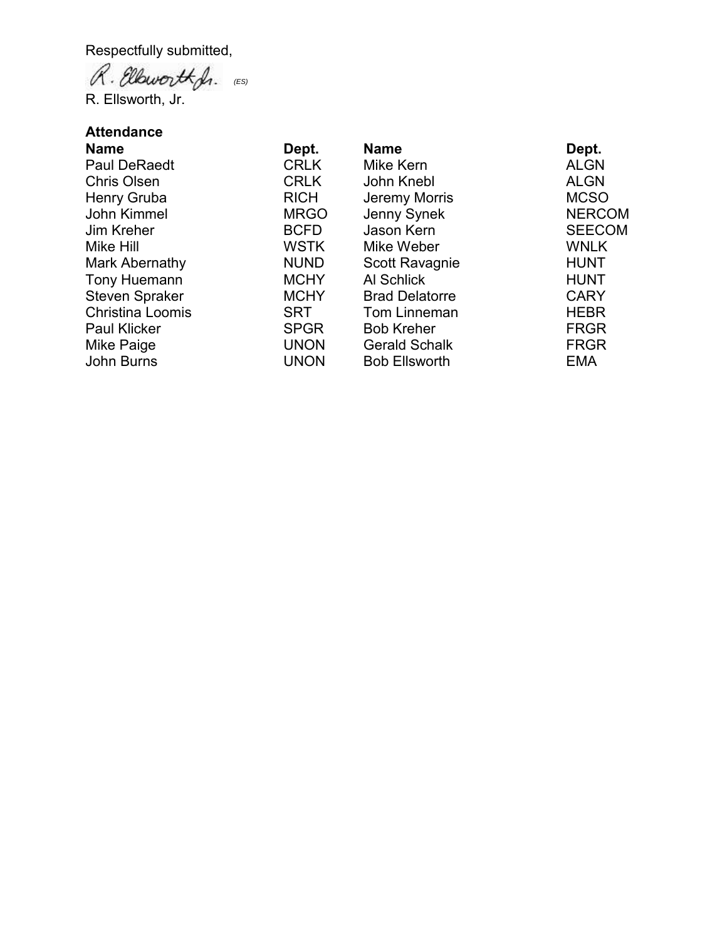Respectfully submitted,

*(ES)* R. Ellsworth, Jr.

| <b>Attendance</b><br><b>Name</b> | Dept.       | <b>Name</b>           | Dept.         |
|----------------------------------|-------------|-----------------------|---------------|
| <b>Paul DeRaedt</b>              | <b>CRLK</b> | Mike Kern             | <b>ALGN</b>   |
|                                  |             |                       |               |
| <b>Chris Olsen</b>               | <b>CRLK</b> | John Knebl            | <b>ALGN</b>   |
| <b>Henry Gruba</b>               | <b>RICH</b> | <b>Jeremy Morris</b>  | <b>MCSO</b>   |
| John Kimmel                      | <b>MRGO</b> | Jenny Synek           | <b>NERCOM</b> |
| Jim Kreher                       | <b>BCFD</b> | Jason Kern            | <b>SEECOM</b> |
| Mike Hill                        | <b>WSTK</b> | Mike Weber            | <b>WNLK</b>   |
| Mark Abernathy                   | <b>NUND</b> | <b>Scott Ravagnie</b> | <b>HUNT</b>   |
| <b>Tony Huemann</b>              | <b>MCHY</b> | <b>Al Schlick</b>     | <b>HUNT</b>   |
| <b>Steven Spraker</b>            | <b>MCHY</b> | <b>Brad Delatorre</b> | <b>CARY</b>   |
| <b>Christina Loomis</b>          | <b>SRT</b>  | Tom Linneman          | <b>HEBR</b>   |
| <b>Paul Klicker</b>              | <b>SPGR</b> | <b>Bob Kreher</b>     | <b>FRGR</b>   |
| Mike Paige                       | <b>UNON</b> | <b>Gerald Schalk</b>  | <b>FRGR</b>   |
| <b>John Burns</b>                | <b>UNON</b> | <b>Bob Ellsworth</b>  | <b>EMA</b>    |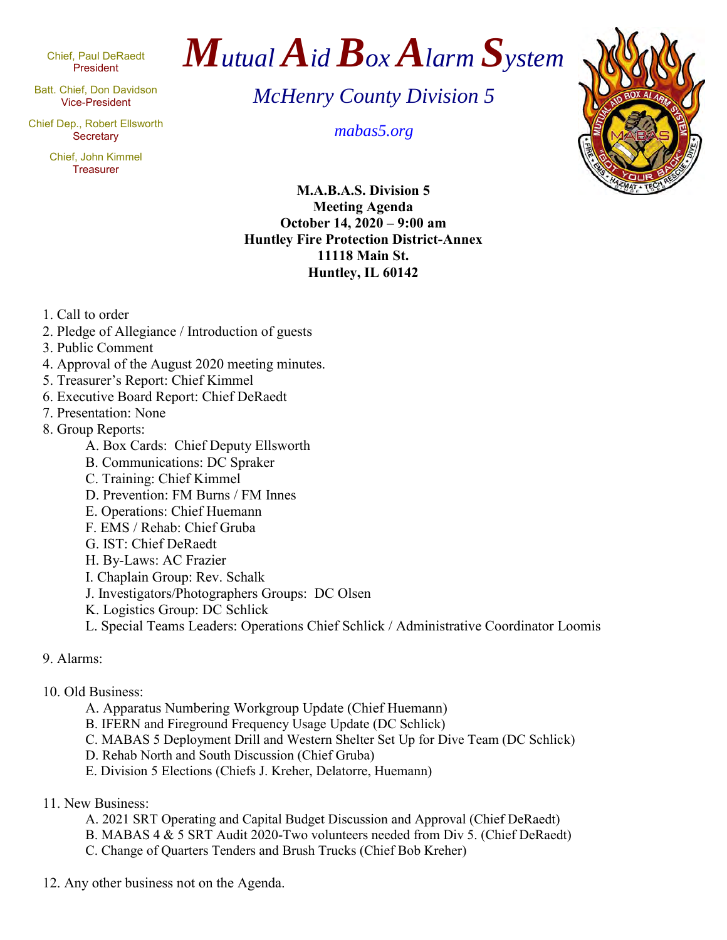Batt. Chief, Don Davidson

Chief Dep., Robert Ellsworth

Chief, John Kimmel **Treasurer** 



**McHenry County Division 5** 

mabas5.org



**M.A.B.A.S. Division 5 Meeting Agenda October 14, 2020 – 9:00 am Huntley Fire Protection District-Annex 11118 Main St. Huntley, IL 60142**

1. Call to order

- 2. Pledge of Allegiance / Introduction of guests
- 3. Public Comment
- 4. Approval of the August 2020 meeting minutes.
- 5. Treasurer's Report: Chief Kimmel
- 6. Executive Board Report: Chief DeRaedt
- 7. Presentation: None
- 8. Group Reports:
	- A. Box Cards: Chief Deputy Ellsworth
	- B. Communications: DC Spraker
	- C. Training: Chief Kimmel
	- D. Prevention: FM Burns / FM Innes
	- E. Operations: Chief Huemann
	- F. EMS / Rehab: Chief Gruba
	- G. IST: Chief DeRaedt
	- H. By-Laws: AC Frazier
	- I. Chaplain Group: Rev. Schalk
	- J. Investigators/Photographers Groups: DC Olsen
	- K. Logistics Group: DC Schlick
	- L. Special Teams Leaders: Operations Chief Schlick / Administrative Coordinator Loomis

### 9. Alarms:

### 10. Old Business:

- A. Apparatus Numbering Workgroup Update (Chief Huemann)
- B. IFERN and Fireground Frequency Usage Update (DC Schlick)
- C. MABAS 5 Deployment Drill and Western Shelter Set Up for Dive Team (DC Schlick)
- D. Rehab North and South Discussion (Chief Gruba)
- E. Division 5 Elections (Chiefs J. Kreher, Delatorre, Huemann)
- 11. New Business:
	- A. 2021 SRT Operating and Capital Budget Discussion and Approval (Chief DeRaedt)
	- B. MABAS 4 & 5 SRT Audit 2020-Two volunteers needed from Div 5. (Chief DeRaedt)
	- C. Change of Quarters Tenders and Brush Trucks (Chief Bob Kreher)
- 12. Any other business not on the Agenda.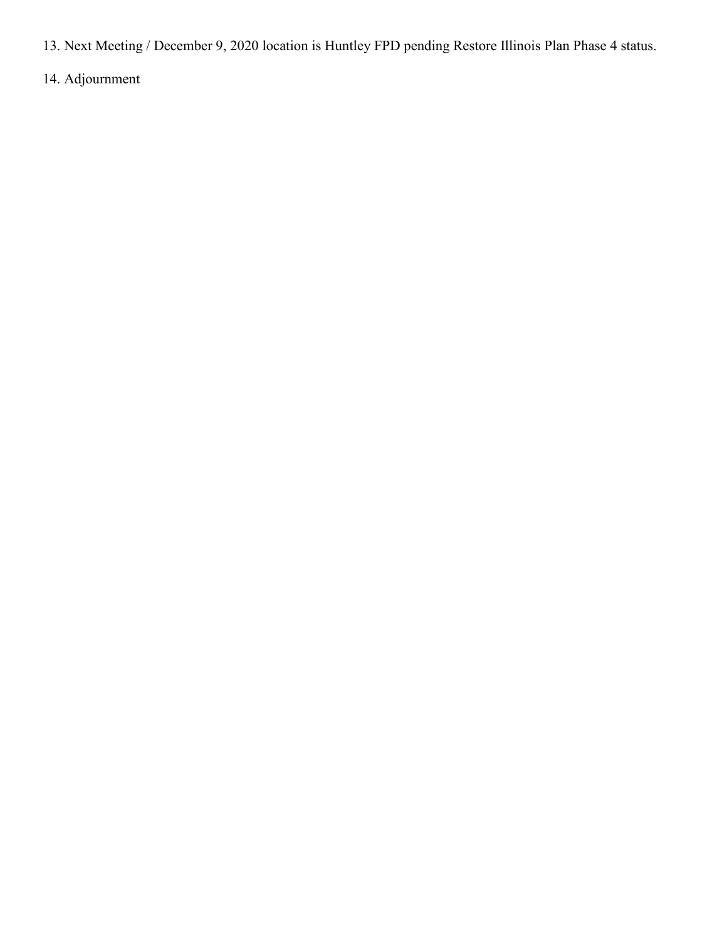13. Next Meeting / December 9, 2020 location is Huntley FPD pending Restore Illinois Plan Phase 4 status.

## 14. Adjournment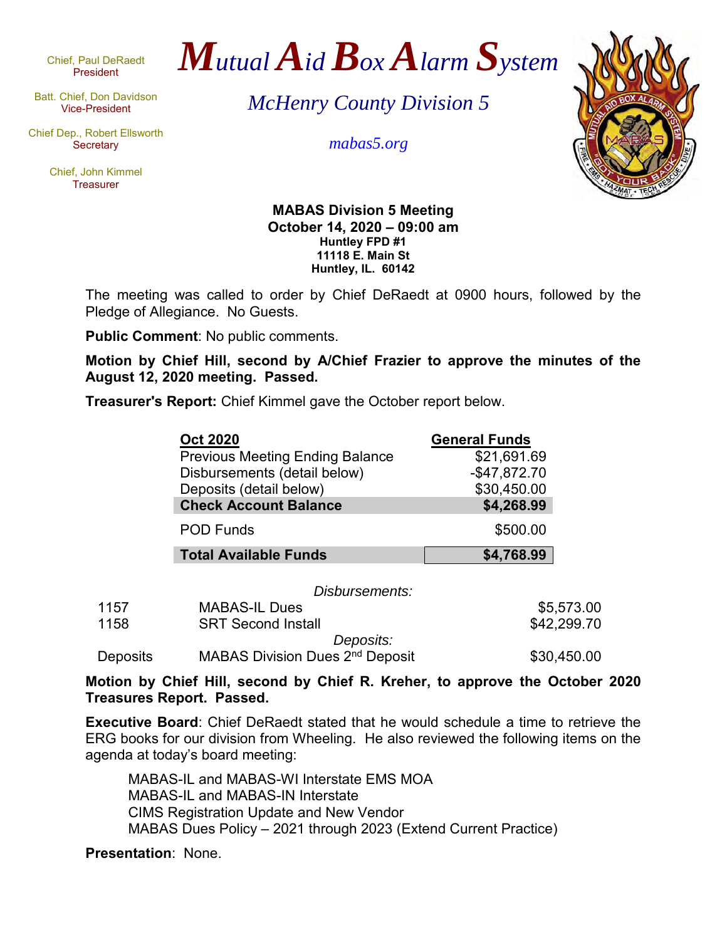Batt. Chief, Don Davidson

Chief Dep., Robert Ellsworth

Chief, John Kimmel Treasurer oh<br>eas



Vice-President *McHenry County Division 5*

mabas5.org



**MABAS Division 5 Meeting October 14, 2020 – 09:00 am Huntley FPD #1 11118 E. Main St Huntley, IL. 60142** 

The meeting was called to order by Chief DeRaedt at 0900 hours, followed by the Pledge of Allegiance. No Guests.

**Public Comment**: No public comments.

**Motion by Chief Hill, second by A/Chief Frazier to approve the minutes of the August 12, 2020 meeting. Passed.** 

**Treasurer's Report:** Chief Kimmel gave the October report below.

| <b>Oct 2020</b>                        | <b>General Funds</b> |
|----------------------------------------|----------------------|
| <b>Previous Meeting Ending Balance</b> | \$21,691.69          |
| Disbursements (detail below)           | $-$47,872.70$        |
| Deposits (detail below)                | \$30,450.00          |
| <b>Check Account Balance</b>           | \$4,268.99           |
| <b>POD Funds</b>                       | \$500.00             |
| <b>Total Available Funds</b>           | \$4.768.99           |

|                 | Disbursements:                              |             |
|-----------------|---------------------------------------------|-------------|
| 1157            | <b>MABAS-IL Dues</b>                        | \$5,573.00  |
| 1158            | <b>SRT Second Install</b>                   | \$42,299.70 |
|                 | Deposits:                                   |             |
| <b>Deposits</b> | MABAS Division Dues 2 <sup>nd</sup> Deposit | \$30,450.00 |

#### **Motion by Chief Hill, second by Chief R. Kreher, to approve the October 2020 Treasures Report. Passed.**

**Executive Board**: Chief DeRaedt stated that he would schedule a time to retrieve the ERG books for our division from Wheeling. He also reviewed the following items on the agenda at today's board meeting:

MABAS-IL and MABAS-WI Interstate EMS MOA MABAS-IL and MABAS-IN Interstate CIMS Registration Update and New Vendor MABAS Dues Policy – 2021 through 2023 (Extend Current Practice)

**Presentation**: None.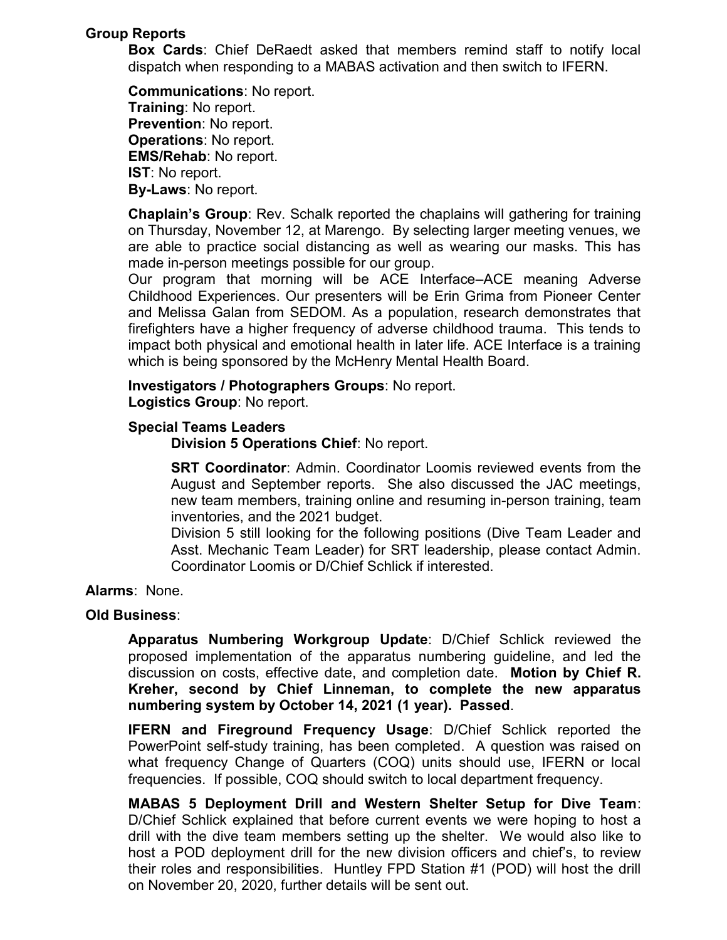### **Group Reports**

**Box Cards**: Chief DeRaedt asked that members remind staff to notify local dispatch when responding to a MABAS activation and then switch to IFERN.

**Communications**: No report. **Training**: No report. **Prevention**: No report. **Operations**: No report. **EMS/Rehab**: No report. **IST**: No report. **By-Laws**: No report.

**Chaplain's Group**: Rev. Schalk reported the chaplains will gathering for training on Thursday, November 12, at Marengo. By selecting larger meeting venues, we are able to practice social distancing as well as wearing our masks. This has made in-person meetings possible for our group.

Our program that morning will be ACE Interface–ACE meaning Adverse Childhood Experiences. Our presenters will be Erin Grima from Pioneer Center and Melissa Galan from SEDOM. As a population, research demonstrates that firefighters have a higher frequency of adverse childhood trauma. This tends to impact both physical and emotional health in later life. ACE Interface is a training which is being sponsored by the McHenry Mental Health Board.

**Investigators / Photographers Groups**: No report.

**Logistics Group**: No report.

## **Special Teams Leaders**

**Division 5 Operations Chief**: No report.

**SRT Coordinator**: Admin. Coordinator Loomis reviewed events from the August and September reports. She also discussed the JAC meetings, new team members, training online and resuming in-person training, team inventories, and the 2021 budget.

Division 5 still looking for the following positions (Dive Team Leader and Asst. Mechanic Team Leader) for SRT leadership, please contact Admin. Coordinator Loomis or D/Chief Schlick if interested.

**Alarms**: None.

## **Old Business**:

**Apparatus Numbering Workgroup Update**: D/Chief Schlick reviewed the proposed implementation of the apparatus numbering guideline, and led the discussion on costs, effective date, and completion date. **Motion by Chief R. Kreher, second by Chief Linneman, to complete the new apparatus numbering system by October 14, 2021 (1 year). Passed**.

**IFERN and Fireground Frequency Usage**: D/Chief Schlick reported the PowerPoint self-study training, has been completed. A question was raised on what frequency Change of Quarters (COQ) units should use, IFERN or local frequencies. If possible, COQ should switch to local department frequency.

**MABAS 5 Deployment Drill and Western Shelter Setup for Dive Team**: D/Chief Schlick explained that before current events we were hoping to host a drill with the dive team members setting up the shelter. We would also like to host a POD deployment drill for the new division officers and chief's, to review their roles and responsibilities. Huntley FPD Station #1 (POD) will host the drill on November 20, 2020, further details will be sent out.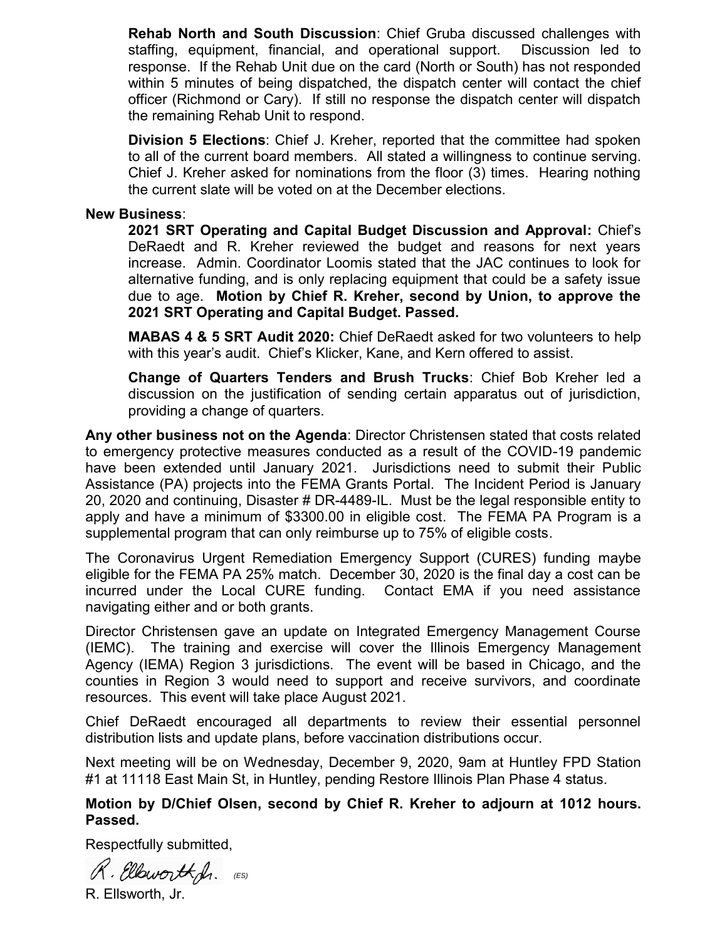**Rehab North and South Discussion**: Chief Gruba discussed challenges with staffing, equipment, financial, and operational support. Discussion led to response. If the Rehab Unit due on the card (North or South) has not responded within 5 minutes of being dispatched, the dispatch center will contact the chief officer (Richmond or Cary). If still no response the dispatch center will dispatch the remaining Rehab Unit to respond.

**Division 5 Elections**: Chief J. Kreher, reported that the committee had spoken to all of the current board members. All stated a willingness to continue serving. Chief J. Kreher asked for nominations from the floor (3) times. Hearing nothing the current slate will be voted on at the December elections.

#### **New Business**:

**2021 SRT Operating and Capital Budget Discussion and Approval:** Chief's DeRaedt and R. Kreher reviewed the budget and reasons for next years increase. Admin. Coordinator Loomis stated that the JAC continues to look for alternative funding, and is only replacing equipment that could be a safety issue due to age. **Motion by Chief R. Kreher, second by Union, to approve the 2021 SRT Operating and Capital Budget. Passed.** 

**MABAS 4 & 5 SRT Audit 2020:** Chief DeRaedt asked for two volunteers to help with this year's audit. Chief's Klicker, Kane, and Kern offered to assist.

**Change of Quarters Tenders and Brush Trucks**: Chief Bob Kreher led a discussion on the justification of sending certain apparatus out of jurisdiction, providing a change of quarters.

**Any other business not on the Agenda**: Director Christensen stated that costs related to emergency protective measures conducted as a result of the COVID-19 pandemic have been extended until January 2021. Jurisdictions need to submit their Public Assistance (PA) projects into the FEMA Grants Portal. The Incident Period is January 20, 2020 and continuing, Disaster # DR-4489-IL. Must be the legal responsible entity to apply and have a minimum of \$3300.00 in eligible cost. The FEMA PA Program is a supplemental program that can only reimburse up to 75% of eligible costs.

The Coronavirus Urgent Remediation Emergency Support (CURES) funding maybe eligible for the FEMA PA 25% match. December 30, 2020 is the final day a cost can be incurred under the Local CURE funding. Contact EMA if you need assistance navigating either and or both grants.

Director Christensen gave an update on Integrated Emergency Management Course (IEMC). The training and exercise will cover the Illinois Emergency Management Agency (IEMA) Region 3 jurisdictions. The event will be based in Chicago, and the counties in Region 3 would need to support and receive survivors, and coordinate resources. This event will take place August 2021.

Chief DeRaedt encouraged all departments to review their essential personnel distribution lists and update plans, before vaccination distributions occur.

Next meeting will be on Wednesday, December 9, 2020, 9am at Huntley FPD Station #1 at 11118 East Main St, in Huntley, pending Restore Illinois Plan Phase 4 status.

### **Motion by D/Chief Olsen, second by Chief R. Kreher to adjourn at 1012 hours. Passed.**

Respectfully submitted,

R. Elbworthds. (ES)

R. Ellsworth, Jr.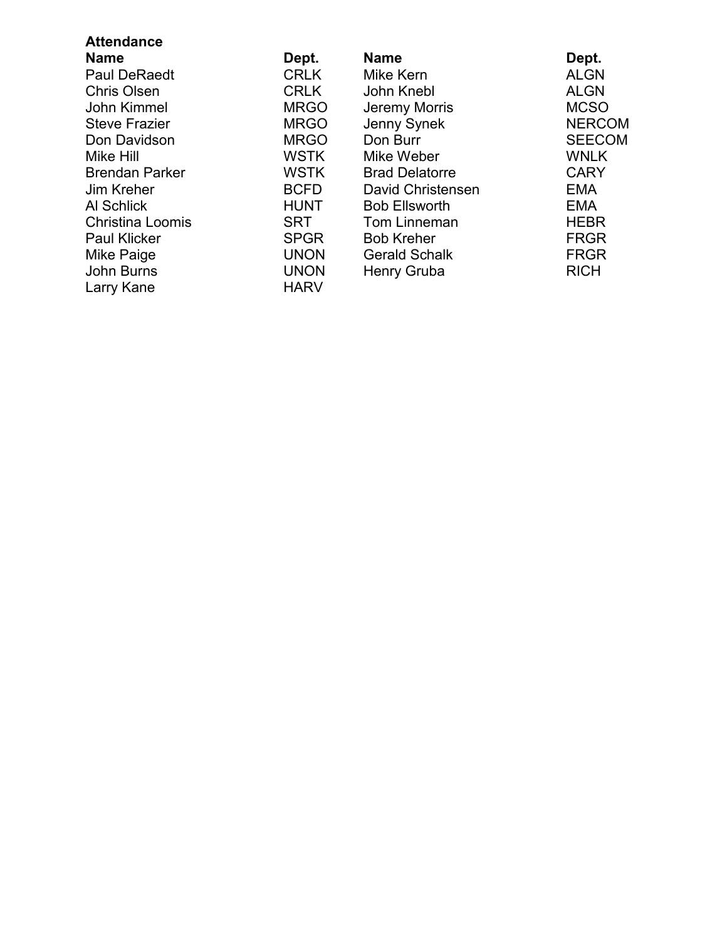| <b>Attendance</b>       |             |                       |               |
|-------------------------|-------------|-----------------------|---------------|
| <b>Name</b>             | Dept.       | <b>Name</b>           | Dept.         |
| <b>Paul DeRaedt</b>     | <b>CRLK</b> | Mike Kern             | <b>ALGN</b>   |
| <b>Chris Olsen</b>      | <b>CRLK</b> | John Knebl            | <b>ALGN</b>   |
| John Kimmel             | <b>MRGO</b> | <b>Jeremy Morris</b>  | <b>MCSO</b>   |
| <b>Steve Frazier</b>    | <b>MRGO</b> | Jenny Synek           | <b>NERCOM</b> |
| Don Davidson            | <b>MRGO</b> | Don Burr              | <b>SEECOM</b> |
| Mike Hill               | <b>WSTK</b> | Mike Weber            | <b>WNLK</b>   |
| <b>Brendan Parker</b>   | <b>WSTK</b> | <b>Brad Delatorre</b> | <b>CARY</b>   |
| Jim Kreher              | <b>BCFD</b> | David Christensen     | <b>EMA</b>    |
| Al Schlick              | <b>HUNT</b> | <b>Bob Ellsworth</b>  | <b>EMA</b>    |
| <b>Christina Loomis</b> | <b>SRT</b>  | Tom Linneman          | <b>HEBR</b>   |
| <b>Paul Klicker</b>     | <b>SPGR</b> | <b>Bob Kreher</b>     | <b>FRGR</b>   |
| <b>Mike Paige</b>       | <b>UNON</b> | <b>Gerald Schalk</b>  | <b>FRGR</b>   |
| John Burns              | <b>UNON</b> | Henry Gruba           | <b>RICH</b>   |
| Larry Kane              | <b>HARV</b> |                       |               |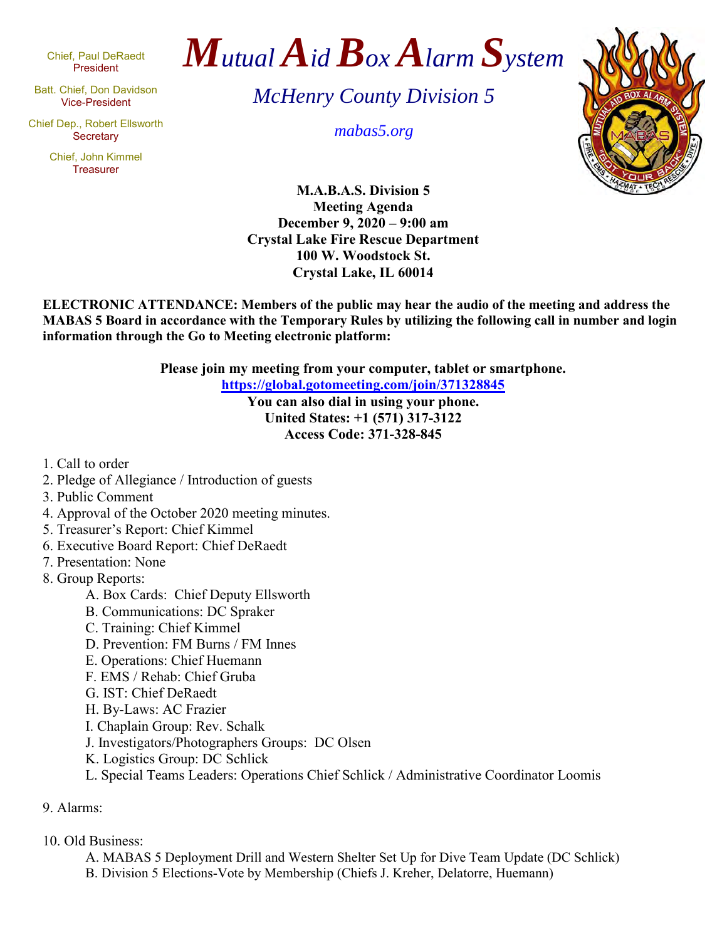Batt. Chief, Don Davidson

Chief Dep., Robert Ellsworth

Chief, John Kimmel **Treasurer** 



**McHenry County Division 5** 

mabas5.org



**M.A.B.A.S. Division 5 Meeting Agenda December 9, 2020 – 9:00 am Crystal Lake Fire Rescue Department 100 W. Woodstock St. Crystal Lake, IL 60014**

**ELECTRONIC ATTENDANCE: Members of the public may hear the audio of the meeting and address the MABAS 5 Board in accordance with the Temporary Rules by utilizing the following call in number and login information through the Go to Meeting electronic platform:**

**Please join my meeting from your computer, tablet or smartphone.**

**<https://global.gotomeeting.com/join/371328845>**

**You can also dial in using your phone. United States: +1 (571) 317-3122 Access Code: 371-328-845**

1. Call to order

- 2. Pledge of Allegiance / Introduction of guests
- 3. Public Comment
- 4. Approval of the October 2020 meeting minutes.
- 5. Treasurer's Report: Chief Kimmel
- 6. Executive Board Report: Chief DeRaedt
- 7. Presentation: None
- 8. Group Reports:
	- A. Box Cards: Chief Deputy Ellsworth
	- B. Communications: DC Spraker
	- C. Training: Chief Kimmel
	- D. Prevention: FM Burns / FM Innes
	- E. Operations: Chief Huemann
	- F. EMS / Rehab: Chief Gruba
	- G. IST: Chief DeRaedt
	- H. By-Laws: AC Frazier
	- I. Chaplain Group: Rev. Schalk
	- J. Investigators/Photographers Groups: DC Olsen
	- K. Logistics Group: DC Schlick
	- L. Special Teams Leaders: Operations Chief Schlick / Administrative Coordinator Loomis
- 9. Alarms:

10. Old Business:

A. MABAS 5 Deployment Drill and Western Shelter Set Up for Dive Team Update (DC Schlick) B. Division 5 Elections-Vote by Membership (Chiefs J. Kreher, Delatorre, Huemann)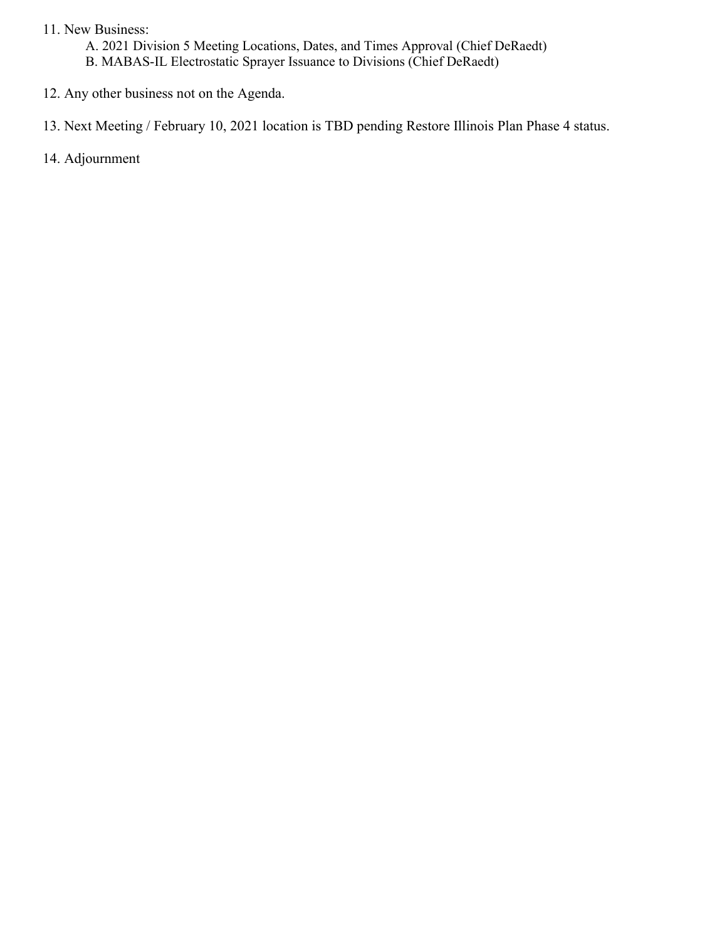#### 11. New Business:

A. 2021 Division 5 Meeting Locations, Dates, and Times Approval (Chief DeRaedt) B. MABAS-IL Electrostatic Sprayer Issuance to Divisions (Chief DeRaedt)

- 12. Any other business not on the Agenda.
- 13. Next Meeting / February 10, 2021 location is TBD pending Restore Illinois Plan Phase 4 status.

14. Adjournment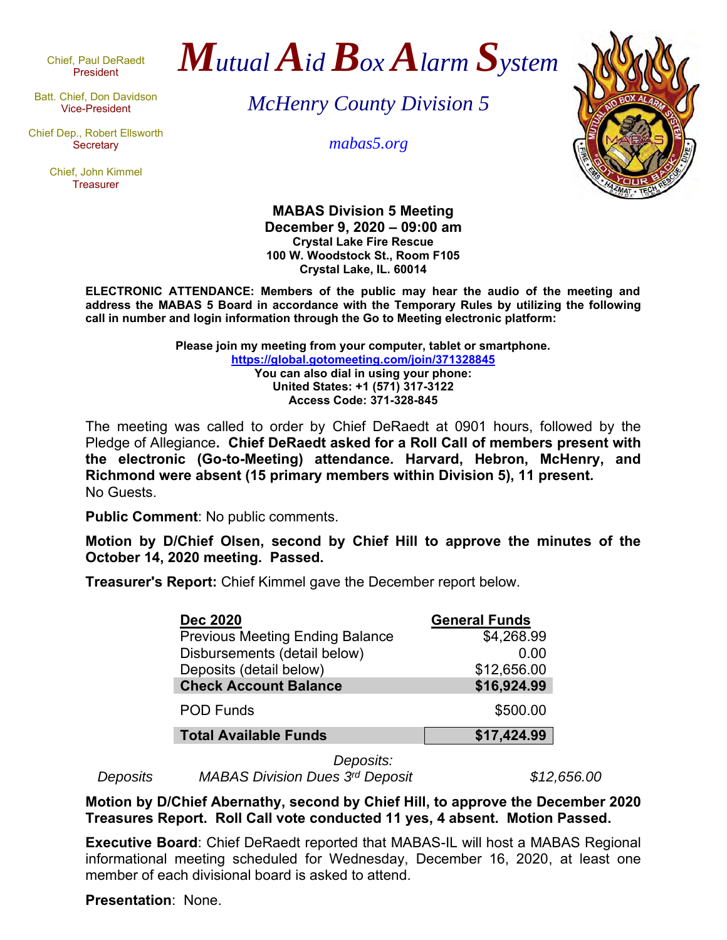Batt. Chief, Don Davidson

Chief Dep., Robert Ellsworth

Chief, John Kimmel Treasurer



Vice-President *McHenry County Division 5*

mabas5.org



**MABAS Division 5 Meeting December 9, 2020 – 09:00 am Crystal Lake Fire Rescue 100 W. Woodstock St., Room F105 Crystal Lake, IL. 60014**

**ELECTRONIC ATTENDANCE: Members of the public may hear the audio of the meeting and address the MABAS 5 Board in accordance with the Temporary Rules by utilizing the following call in number and login information through the Go to Meeting electronic platform:**

> **Please join my meeting from your computer, tablet or smartphone. <https://global.gotomeeting.com/join/371328845> You can also dial in using your phone: United States: +1 (571) 317-3122 Access Code: 371-328-845**

The meeting was called to order by Chief DeRaedt at 0901 hours, followed by the Pledge of Allegiance**. Chief DeRaedt asked for a Roll Call of members present with the electronic (Go-to-Meeting) attendance. Harvard, Hebron, McHenry, and Richmond were absent (15 primary members within Division 5), 11 present.**  No Guests.

**Public Comment**: No public comments.

**Motion by D/Chief Olsen, second by Chief Hill to approve the minutes of the October 14, 2020 meeting. Passed.**

**Treasurer's Report:** Chief Kimmel gave the December report below.

| <b>General Funds</b> |
|----------------------|
| \$4,268.99           |
| 0.00                 |
| \$12,656.00          |
| \$16,924.99          |
| \$500.00             |
| \$17,424.99          |
|                      |

*Deposits:*

*Deposits MABAS Division Dues 3*

*rd Deposit \$12,656.00*

**Motion by D/Chief Abernathy, second by Chief Hill, to approve the December 2020 Treasures Report. Roll Call vote conducted 11 yes, 4 absent. Motion Passed.**

**Executive Board**: Chief DeRaedt reported that MABAS-IL will host a MABAS Regional informational meeting scheduled for Wednesday, December 16, 2020, at least one member of each divisional board is asked to attend.

**Presentation**: None.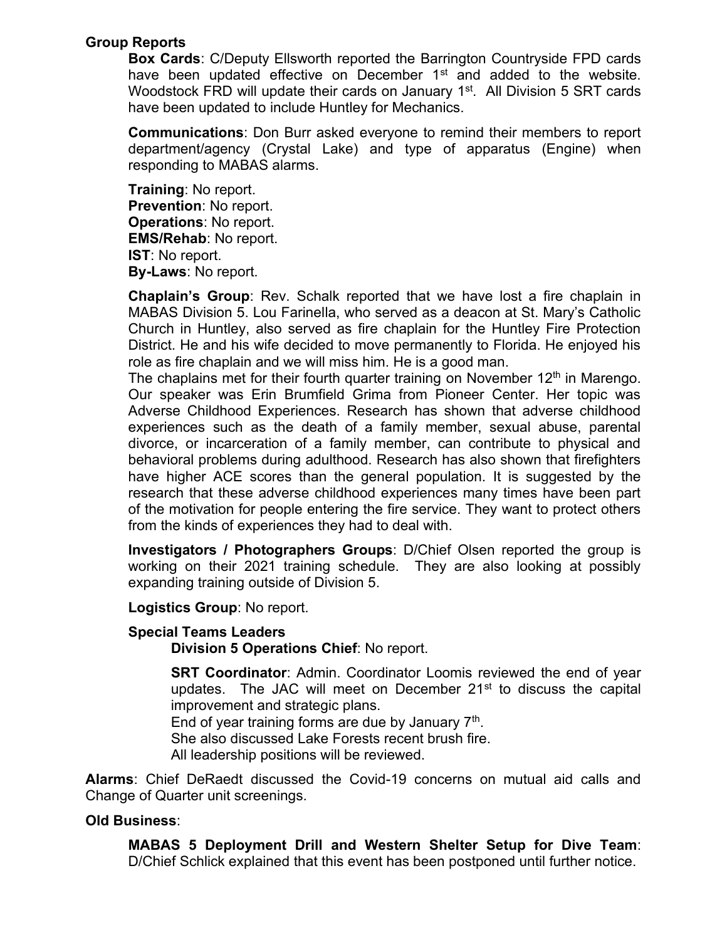## **Group Reports**

**Box Cards**: C/Deputy Ellsworth reported the Barrington Countryside FPD cards have been updated effective on December 1<sup>st</sup> and added to the website. Woodstock FRD will update their cards on January 1<sup>st</sup>. All Division 5 SRT cards have been updated to include Huntley for Mechanics.

**Communications**: Don Burr asked everyone to remind their members to report department/agency (Crystal Lake) and type of apparatus (Engine) when responding to MABAS alarms.

**Training**: No report. **Prevention**: No report. **Operations**: No report. **EMS/Rehab**: No report. **IST**: No report. **By-Laws**: No report.

**Chaplain's Group**: Rev. Schalk reported that we have lost a fire chaplain in MABAS Division 5. Lou Farinella, who served as a deacon at St. Mary's Catholic Church in Huntley, also served as fire chaplain for the Huntley Fire Protection District. He and his wife decided to move permanently to Florida. He enjoyed his role as fire chaplain and we will miss him. He is a good man.

The chaplains met for their fourth quarter training on November  $12<sup>th</sup>$  in Marengo. Our speaker was Erin Brumfield Grima from Pioneer Center. Her topic was Adverse Childhood Experiences. Research has shown that adverse childhood experiences such as the death of a family member, sexual abuse, parental divorce, or incarceration of a family member, can contribute to physical and behavioral problems during adulthood. Research has also shown that firefighters have higher ACE scores than the general population. It is suggested by the research that these adverse childhood experiences many times have been part of the motivation for people entering the fire service. They want to protect others from the kinds of experiences they had to deal with.

**Investigators / Photographers Groups**: D/Chief Olsen reported the group is working on their 2021 training schedule. They are also looking at possibly expanding training outside of Division 5.

**Logistics Group**: No report.

### **Special Teams Leaders**

**Division 5 Operations Chief**: No report.

**SRT Coordinator**: Admin. Coordinator Loomis reviewed the end of year updates. The JAC will meet on December  $21<sup>st</sup>$  to discuss the capital improvement and strategic plans.

End of year training forms are due by January 7<sup>th</sup>.

She also discussed Lake Forests recent brush fire.

All leadership positions will be reviewed.

**Alarms**: Chief DeRaedt discussed the Covid-19 concerns on mutual aid calls and Change of Quarter unit screenings.

### **Old Business**:

**MABAS 5 Deployment Drill and Western Shelter Setup for Dive Team**: D/Chief Schlick explained that this event has been postponed until further notice.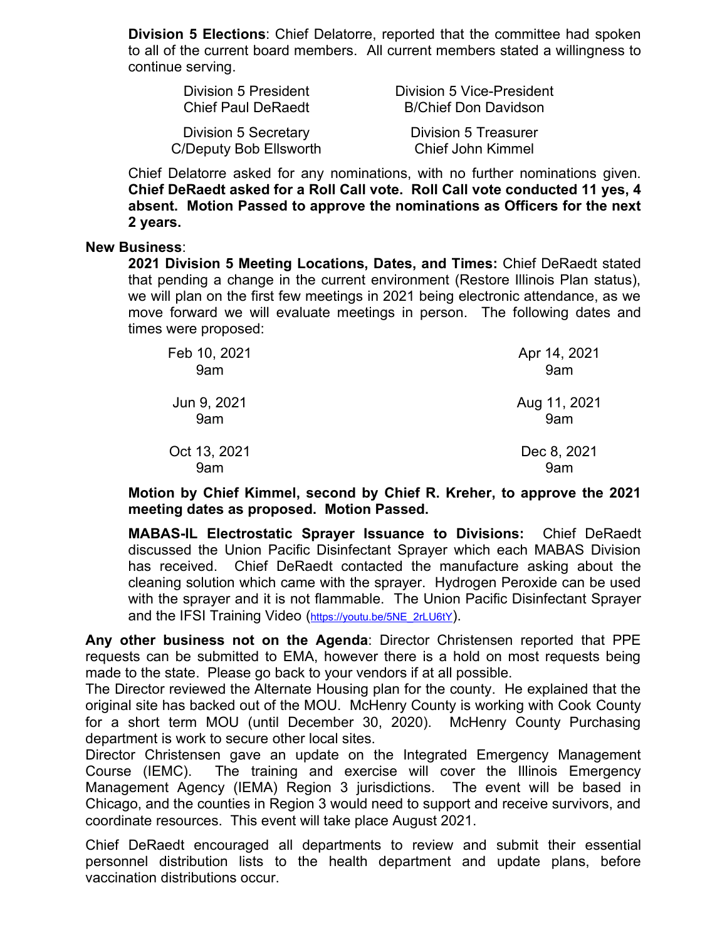**Division 5 Elections**: Chief Delatorre, reported that the committee had spoken to all of the current board members. All current members stated a willingness to continue serving.

| <b>Division 5 President</b>   | <b>Division 5 Vice-President</b> |
|-------------------------------|----------------------------------|
| <b>Chief Paul DeRaedt</b>     | <b>B/Chief Don Davidson</b>      |
| <b>Division 5 Secretary</b>   | <b>Division 5 Treasurer</b>      |
| <b>C/Deputy Bob Ellsworth</b> | Chief John Kimmel                |

Chief Delatorre asked for any nominations, with no further nominations given. **Chief DeRaedt asked for a Roll Call vote. Roll Call vote conducted 11 yes, 4 absent. Motion Passed to approve the nominations as Officers for the next 2 years.** 

#### **New Business**:

**2021 Division 5 Meeting Locations, Dates, and Times:** Chief DeRaedt stated that pending a change in the current environment (Restore Illinois Plan status), we will plan on the first few meetings in 2021 being electronic attendance, as we move forward we will evaluate meetings in person. The following dates and times were proposed:

| Feb 10, 2021 | Apr 14, 2021 |
|--------------|--------------|
| 9am          | 9am          |
| Jun 9, 2021  | Aug 11, 2021 |
| 9am          | 9am          |
| Oct 13, 2021 | Dec 8, 2021  |
| 9am          | 9am          |

**Motion by Chief Kimmel, second by Chief R. Kreher, to approve the 2021 meeting dates as proposed. Motion Passed.**

**MABAS-IL Electrostatic Sprayer Issuance to Divisions:** Chief DeRaedt discussed the Union Pacific Disinfectant Sprayer which each MABAS Division has received. Chief DeRaedt contacted the manufacture asking about the cleaning solution which came with the sprayer. Hydrogen Peroxide can be used with the sprayer and it is not flammable. The Union Pacific Disinfectant Sprayer and the IFSI Training Video ([https://youtu.be/5NE\\_2rLU6tY](https://youtu.be/5NE_2rLU6tY)).

**Any other business not on the Agenda**: Director Christensen reported that PPE requests can be submitted to EMA, however there is a hold on most requests being made to the state. Please go back to your vendors if at all possible.

The Director reviewed the Alternate Housing plan for the county. He explained that the original site has backed out of the MOU. McHenry County is working with Cook County for a short term MOU (until December 30, 2020). McHenry County Purchasing department is work to secure other local sites.

Director Christensen gave an update on the Integrated Emergency Management Course (IEMC). The training and exercise will cover the Illinois Emergency Management Agency (IEMA) Region 3 jurisdictions. The event will be based in Chicago, and the counties in Region 3 would need to support and receive survivors, and coordinate resources. This event will take place August 2021.

Chief DeRaedt encouraged all departments to review and submit their essential personnel distribution lists to the health department and update plans, before vaccination distributions occur.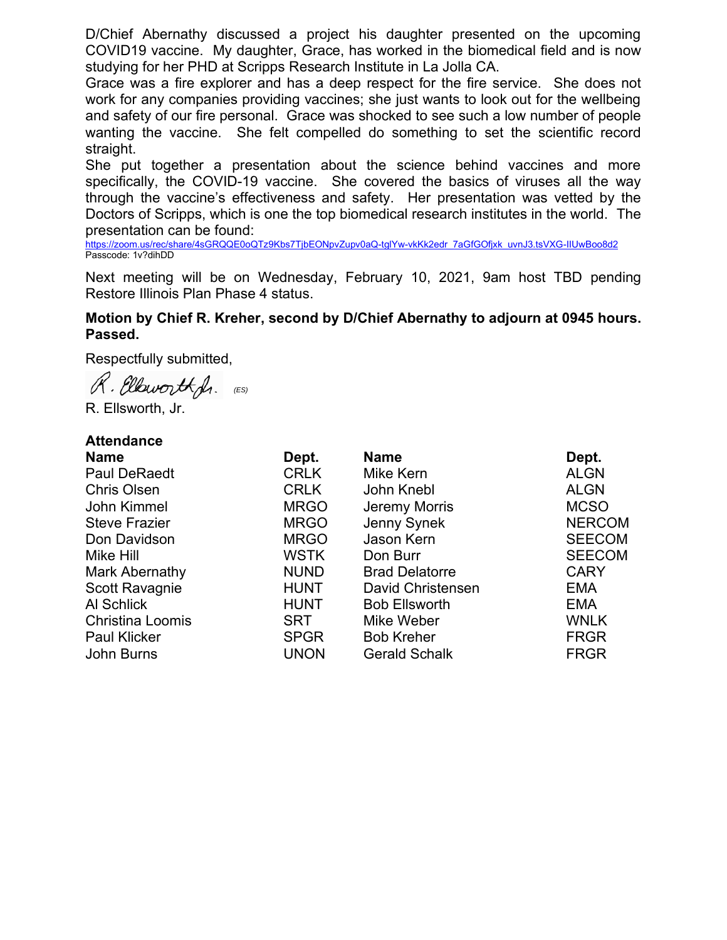D/Chief Abernathy discussed a project his daughter presented on the upcoming COVID19 vaccine. My daughter, Grace, has worked in the biomedical field and is now studying for her PHD at Scripps Research Institute in La Jolla CA.

Grace was a fire explorer and has a deep respect for the fire service. She does not work for any companies providing vaccines; she just wants to look out for the wellbeing and safety of our fire personal. Grace was shocked to see such a low number of people wanting the vaccine. She felt compelled do something to set the scientific record straight.

She put together a presentation about the science behind vaccines and more specifically, the COVID-19 vaccine. She covered the basics of viruses all the way through the vaccine's effectiveness and safety. Her presentation was vetted by the Doctors of Scripps, which is one the top biomedical research institutes in the world. The presentation can be found:

.<br>[https://zoom.us/rec/share/4sGRQQE0oQTz9Kbs7TjbEONpvZupv0aQ-tglYw-vkKk2edr\\_7aGfGOfjxk\\_uvnJ3.tsVXG-IIUwBoo8d2](https://urldefense.proofpoint.com/v2/url?u=https-3A__zoom.us_rec_share_4sGRQQE0oQTz9Kbs7TjbEONpvZupv0aQ-2DtglYw-2DvkKk2edr-5F7aGfGOfjxk-5FuvnJ3.tsVXG-2DIIUwBoo8d2&d=DwMGaQ&c=GGUhuO0t3bc1ZFcIaRBQsg&r=3_OyRIAlbh92drc_ofnvrRLx2eAWnZkhCH1yU-zfq6Y&m=n2x7VZbeUZzi8cDrSE4IKitdPr_o_fMv05UGDQNfA80&s=wcdbhxHMqj9puZpC5uO8K9TJnqR6SpKinL90bZB35VQ&e=)\_ Passcode: 1v?dihDD

Next meeting will be on Wednesday, February 10, 2021, 9am host TBD pending Restore Illinois Plan Phase 4 status.

#### **Motion by Chief R. Kreher, second by D/Chief Abernathy to adjourn at 0945 hours. Passed.**

Respectfully submitted,

R. Elbworth fr. (ES)

R. Ellsworth, Jr.

# **Attendance Name Dept. Name Dept.** Paul DeRaedt CRLK Mike Kern ALGN Chris Olsen CRLK John Knebl ALGN John Kimmel MRGO Jeremy Morris MCSO Steve Frazier MRGO Jenny Synek NERCOM Don Davidson MRGO Jason Kern SEECOM Mike Hill WSTK Don Burr SEECOM Mark Abernathy **NUND** Brad Delatorre **CARY** Scott Ravagnie HUNT David Christensen EMA Al Schlick **EMA HUNT** Bob Ellsworth **EMA** Christina Loomis SRT Mike Weber WNLK Paul Klicker **SPGR** Bob Kreher **Book SPGR** Bob Kreher **FRGR** John Burns UNON Gerald Schalk FRGR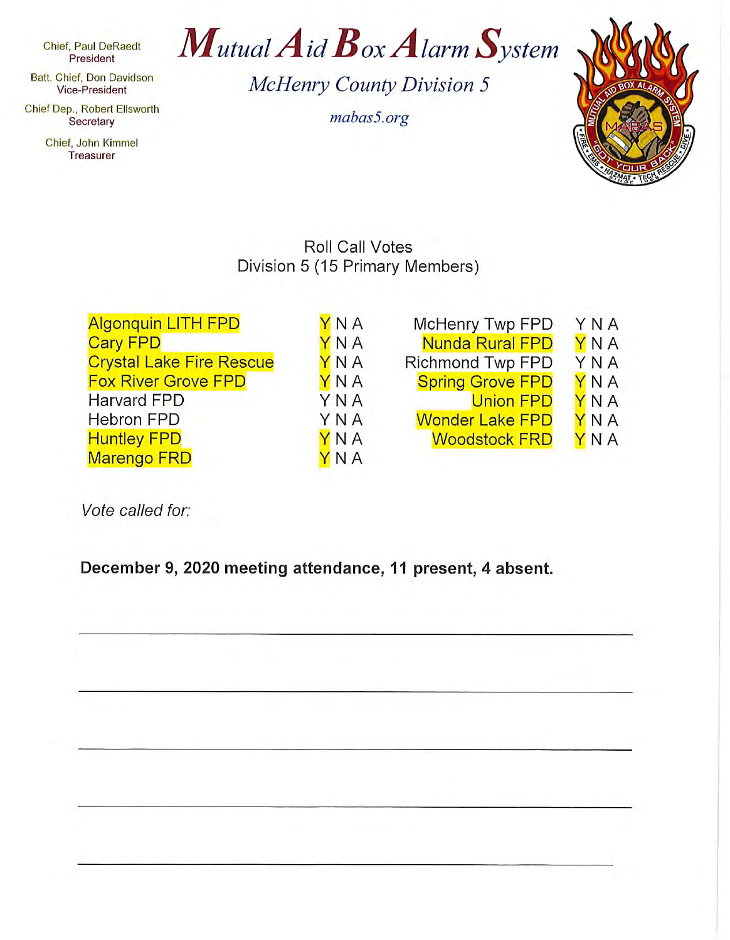**Batt. Chief, Don Davidson** Vice-President

**Chief Dep., Robert Ellsworth** Secretary

> Chief, John Kimmel Treasurer

Mutual  $A$ id  $B_{ox}A$ larm  $S_{y^{stem}}$ 

McHenry County Division 5

mabas5.org



**Roll Call Votes** Division 5 (15 Primary Members)

YNA

YNA

YNA

YNA

YNA

YNA

YNA

YNA

**Algonquin LITH FPD Cary FPD Crystal Lake Fire Rescue Fox River Grove FPD Harvard FPD Hebron FPD Huntley FPD Marengo FRD** 

McHenry Twp FPD YNA **Nunda Rural FPD** YNA **Richmond Twp FPD** YNA **Spring Grove FPD** YNA **Union FPD** YNA **Wonder Lake FPD** YNA **Woodstock FRD** YNA

Vote called for:

December 9, 2020 meeting attendance, 11 present, 4 absent.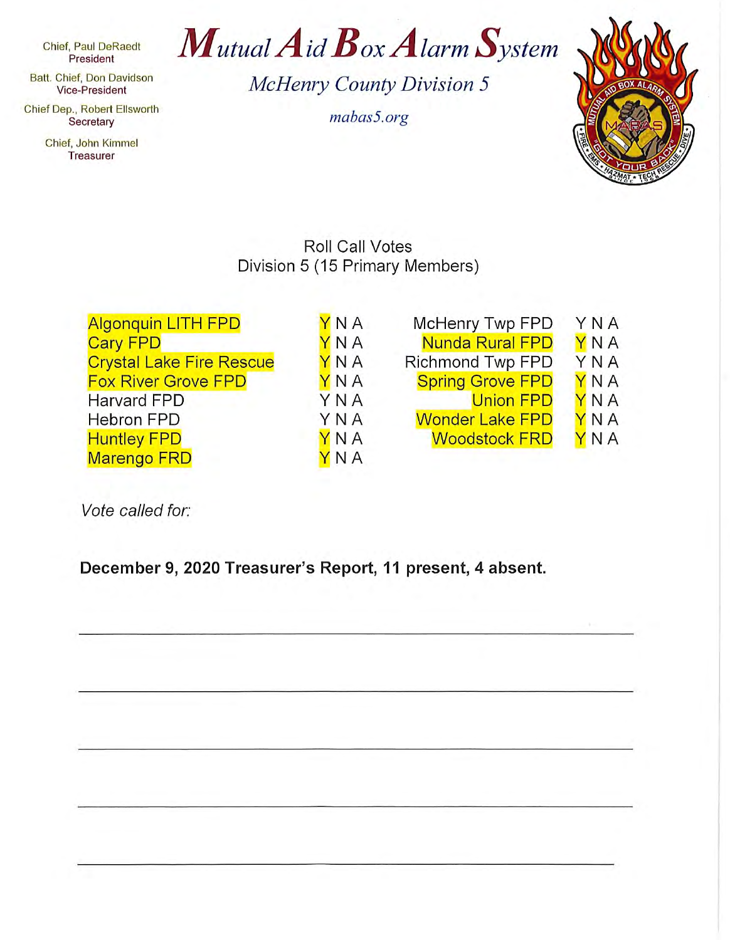**Batt. Chief, Don Davidson Vice-President** 

Chief Dep., Robert Ellsworth Secretary

> Chief, John Kimmel Treasurer

 $M$ utual  $A$ id  $B$ ox  $A$ larm  $S$ ystem

McHenry County Division 5

mabas5.org



**Roll Call Votes** Division 5 (15 Primary Members)

**Algonquin LITH FPD Cary FPD Crystal Lake Fire Rescue Fox River Grove FPD Harvard FPD Hebron FPD Huntley FPD Marengo FRD** 

YNA YNA YNA YNA YNA YNA YNA

YNA

| McHenry Twp FPD         | YNA |
|-------------------------|-----|
| <b>Nunda Rural FPD</b>  | YNA |
| <b>Richmond Twp FPD</b> | YNA |
| <b>Spring Grove FPD</b> | YNA |
| <b>Union FPD</b>        | YNA |
| <b>Wonder Lake FPD</b>  | YNA |
| <b>Woodstock FRD</b>    | YNA |
|                         |     |

Vote called for:

December 9, 2020 Treasurer's Report, 11 present, 4 absent.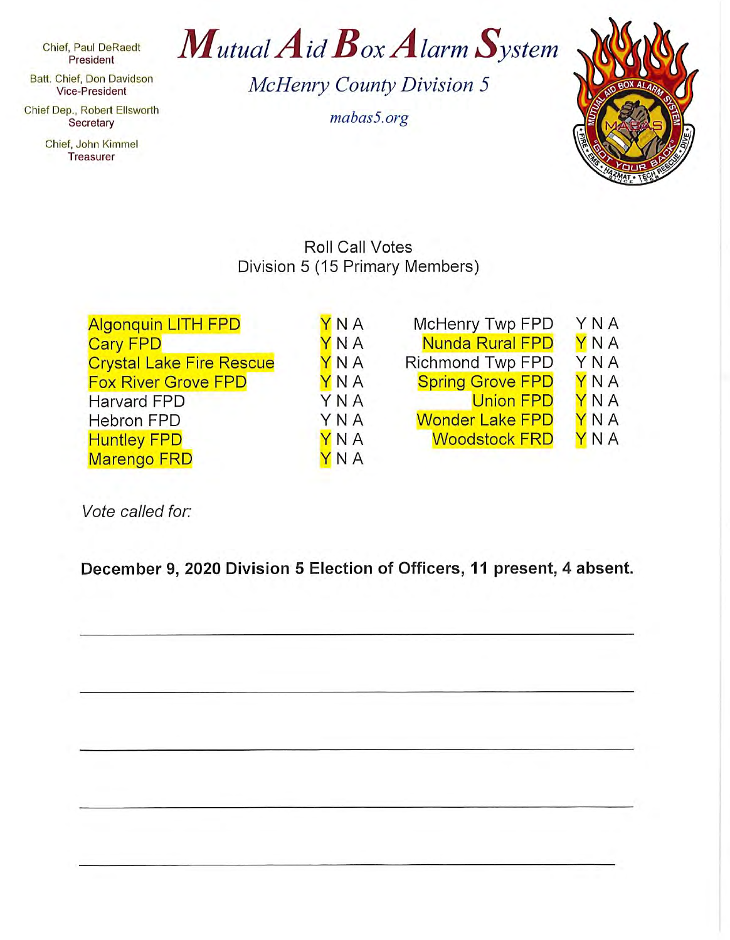**Batt. Chief, Don Davidson Vice-President** 

**Chief Dep., Robert Ellsworth** Secretary

> Chief, John Kimmel Treasurer

 $M$ utual  $A$ id  $B$ ox  $A$ larm  $S$ ystem

McHenry County Division 5

mabas5.org



**Roll Call Votes** Division 5 (15 Primary Members)

**Algonquin LITH FPD Cary FPD Crystal Lake Fire Rescue Fox River Grove FPD Harvard FPD Hebron FPD Huntley FPD Marengo FRD** 

YNA YNA YNA YNA YNA YNA YNA

YNA

| YNA |
|-----|
| YNA |
| YNA |
| YNA |
| YNA |
| YNA |
| YNA |
|     |

Vote called for:

December 9, 2020 Division 5 Election of Officers, 11 present, 4 absent.